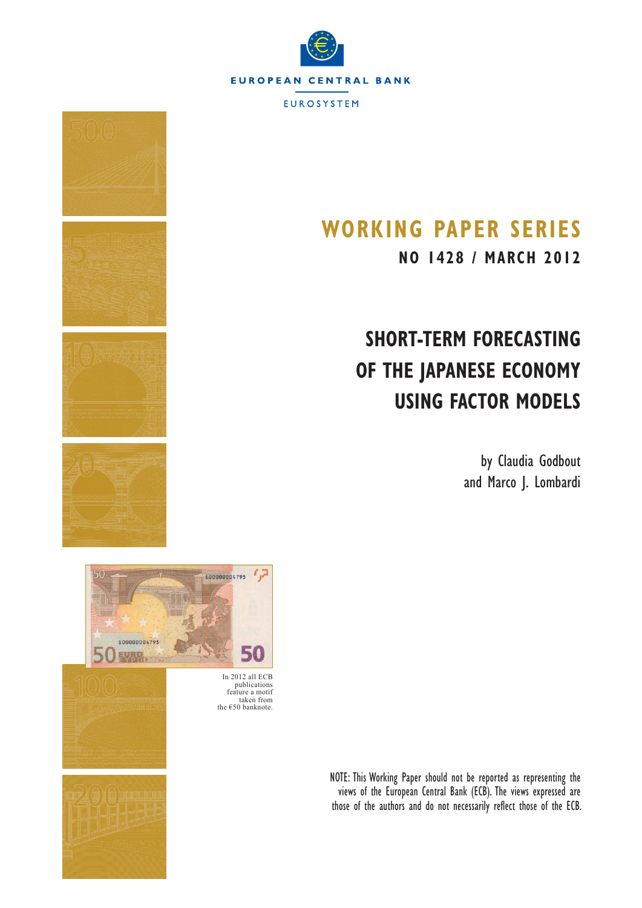

**EUROSYSTEM** 

## **WORKING PAPER SERIES**

**NO 1428 / MARCH 2012**

# **SHORT-TERM FORECASTING OF THE JAPANESE ECONOMY USING FACTOR MODELS**

by Claudia Godbout and Marco J. Lombardi



 $\epsilon$ .

NOTE: This Working Paper should not be reported as representing the views of the European Central Bank (ECB). The views expressed are those of the authors and do not necessarily reflect those of the ECB.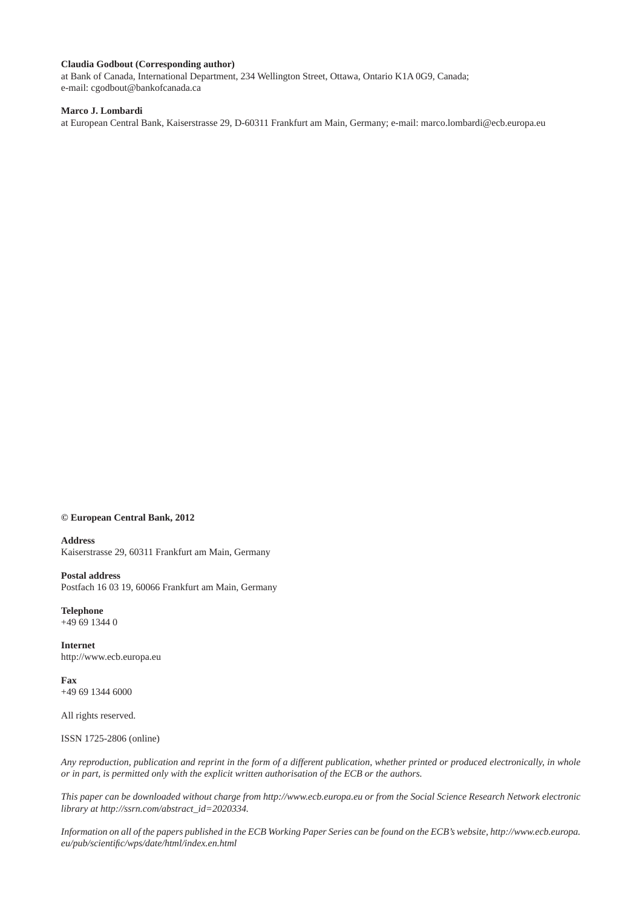#### **Claudia Godbout (Corresponding author)**

at Bank of Canada, International Department, 234 Wellington Street, Ottawa, Ontario K1A 0G9, Canada; e-mail: cgodbout@bankofcanada.ca

#### **Marco J. Lombardi**

at European Central Bank, Kaiserstrasse 29, D-60311 Frankfurt am Main, Germany; e-mail: marco.lombardi@ecb.europa.eu

#### **© European Central Bank, 2012**

#### **Address**

Kaiserstrasse 29, 60311 Frankfurt am Main, Germany

#### **Postal address**

Postfach 16 03 19, 60066 Frankfurt am Main, Germany

**Telephone** +49 69 1344 0

**Internet** http://www.ecb.europa.eu

**Fax** +49 69 1344 6000

All rights reserved.

ISSN 1725-2806 (online)

*Any reproduction, publication and reprint in the form of a different publication, whether printed or produced electronically, in whole or in part, is permitted only with the explicit written authorisation of the ECB or the authors.*

*This paper can be downloaded without charge from http://www.ecb.europa.eu or from the Social Science Research Network electronic library at http://ssrn.com/abstract\_id=2020334.*

*Information on all of the papers published in the ECB Working Paper Series can be found on the ECB's website, http://www.ecb.europa. eu/pub/scientifi c/wps/date/html/index.en.html*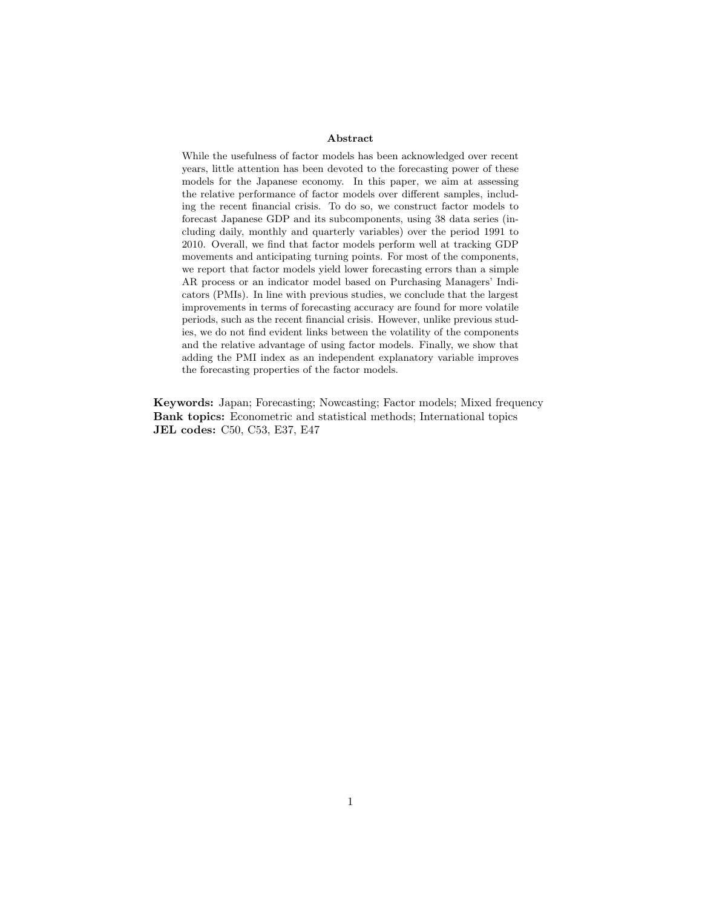#### Abstract

While the usefulness of factor models has been acknowledged over recent years, little attention has been devoted to the forecasting power of these models for the Japanese economy. In this paper, we aim at assessing the relative performance of factor models over different samples, including the recent financial crisis. To do so, we construct factor models to forecast Japanese GDP and its subcomponents, using 38 data series (including daily, monthly and quarterly variables) over the period 1991 to 2010. Overall, we find that factor models perform well at tracking GDP movements and anticipating turning points. For most of the components, we report that factor models yield lower forecasting errors than a simple AR process or an indicator model based on Purchasing Managers' Indicators (PMIs). In line with previous studies, we conclude that the largest improvements in terms of forecasting accuracy are found for more volatile periods, such as the recent financial crisis. However, unlike previous studies, we do not find evident links between the volatility of the components and the relative advantage of using factor models. Finally, we show that adding the PMI index as an independent explanatory variable improves the forecasting properties of the factor models.

Keywords: Japan; Forecasting; Nowcasting; Factor models; Mixed frequency Bank topics: Econometric and statistical methods; International topics JEL codes: C50, C53, E37, E47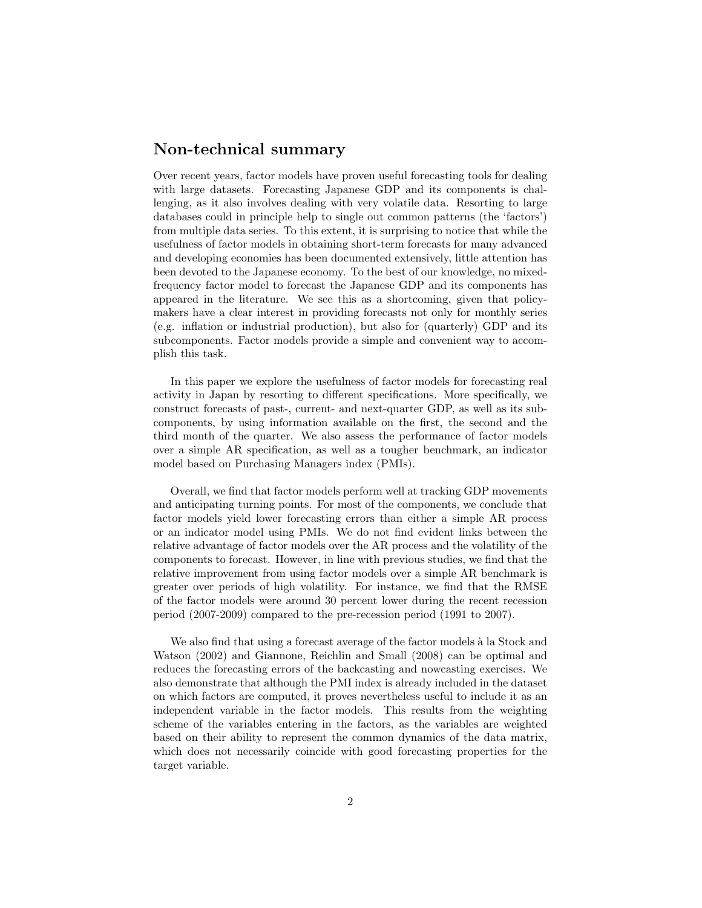## Non-technical summary

Over recent years, factor models have proven useful forecasting tools for dealing with large datasets. Forecasting Japanese GDP and its components is challenging, as it also involves dealing with very volatile data. Resorting to large databases could in principle help to single out common patterns (the 'factors') from multiple data series. To this extent, it is surprising to notice that while the usefulness of factor models in obtaining short-term forecasts for many advanced and developing economies has been documented extensively, little attention has been devoted to the Japanese economy. To the best of our knowledge, no mixedfrequency factor model to forecast the Japanese GDP and its components has appeared in the literature. We see this as a shortcoming, given that policymakers have a clear interest in providing forecasts not only for monthly series (e.g. inflation or industrial production), but also for (quarterly) GDP and its subcomponents. Factor models provide a simple and convenient way to accomplish this task.

In this paper we explore the usefulness of factor models for forecasting real activity in Japan by resorting to different specifications. More specifically, we construct forecasts of past-, current- and next-quarter GDP, as well as its subcomponents, by using information available on the first, the second and the third month of the quarter. We also assess the performance of factor models over a simple AR specification, as well as a tougher benchmark, an indicator model based on Purchasing Managers index (PMIs).

Overall, we find that factor models perform well at tracking GDP movements and anticipating turning points. For most of the components, we conclude that factor models yield lower forecasting errors than either a simple AR process or an indicator model using PMIs. We do not find evident links between the relative advantage of factor models over the AR process and the volatility of the components to forecast. However, in line with previous studies, we find that the relative improvement from using factor models over a simple AR benchmark is greater over periods of high volatility. For instance, we find that the RMSE of the factor models were around 30 percent lower during the recent recession period (2007-2009) compared to the pre-recession period (1991 to 2007).

We also find that using a forecast average of the factor models à la Stock and Watson (2002) and Giannone, Reichlin and Small (2008) can be optimal and reduces the forecasting errors of the backcasting and nowcasting exercises. We also demonstrate that although the PMI index is already included in the dataset on which factors are computed, it proves nevertheless useful to include it as an independent variable in the factor models. This results from the weighting scheme of the variables entering in the factors, as the variables are weighted based on their ability to represent the common dynamics of the data matrix, which does not necessarily coincide with good forecasting properties for the target variable.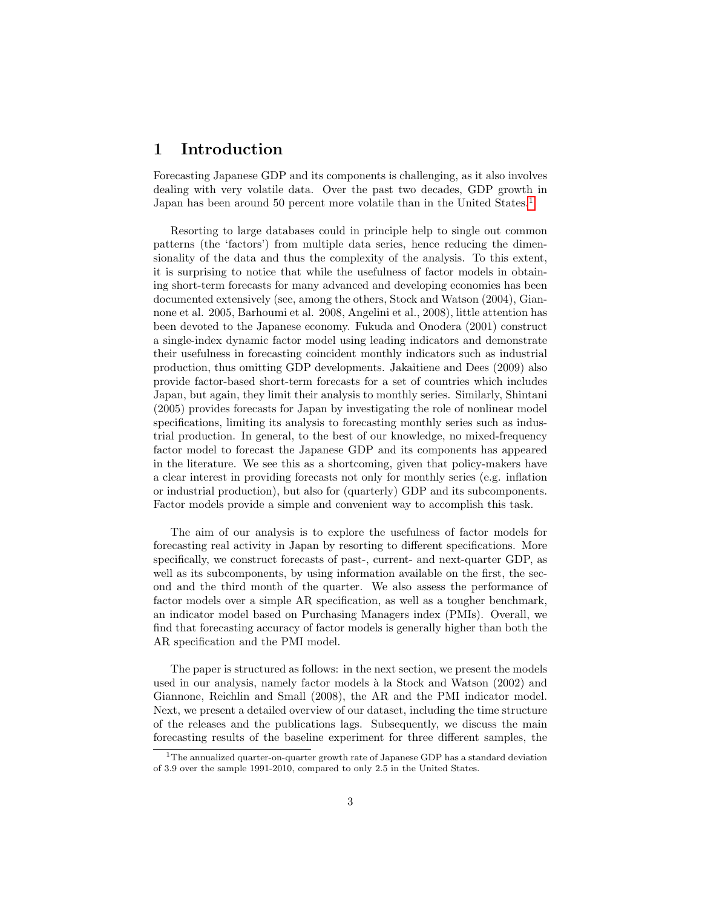## 1 Introduction

Forecasting Japanese GDP and its components is challenging, as it also involves dealing with very volatile data. Over the past two decades, GDP growth in Japan has been around 50 percent more volatile than in the United States.[1](#page-4-0)

Resorting to large databases could in principle help to single out common patterns (the 'factors') from multiple data series, hence reducing the dimensionality of the data and thus the complexity of the analysis. To this extent, it is surprising to notice that while the usefulness of factor models in obtaining short-term forecasts for many advanced and developing economies has been documented extensively (see, among the others, Stock and Watson (2004), Giannone et al. 2005, Barhoumi et al. 2008, Angelini et al., 2008), little attention has been devoted to the Japanese economy. Fukuda and Onodera (2001) construct a single-index dynamic factor model using leading indicators and demonstrate their usefulness in forecasting coincident monthly indicators such as industrial production, thus omitting GDP developments. Jakaitiene and Dees (2009) also provide factor-based short-term forecasts for a set of countries which includes Japan, but again, they limit their analysis to monthly series. Similarly, Shintani (2005) provides forecasts for Japan by investigating the role of nonlinear model specifications, limiting its analysis to forecasting monthly series such as industrial production. In general, to the best of our knowledge, no mixed-frequency factor model to forecast the Japanese GDP and its components has appeared in the literature. We see this as a shortcoming, given that policy-makers have a clear interest in providing forecasts not only for monthly series (e.g. inflation or industrial production), but also for (quarterly) GDP and its subcomponents. Factor models provide a simple and convenient way to accomplish this task.

The aim of our analysis is to explore the usefulness of factor models for forecasting real activity in Japan by resorting to different specifications. More specifically, we construct forecasts of past-, current- and next-quarter GDP, as well as its subcomponents, by using information available on the first, the second and the third month of the quarter. We also assess the performance of factor models over a simple AR specification, as well as a tougher benchmark, an indicator model based on Purchasing Managers index (PMIs). Overall, we find that forecasting accuracy of factor models is generally higher than both the AR specification and the PMI model.

The paper is structured as follows: in the next section, we present the models used in our analysis, namely factor models à la Stock and Watson (2002) and Giannone, Reichlin and Small (2008), the AR and the PMI indicator model. Next, we present a detailed overview of our dataset, including the time structure of the releases and the publications lags. Subsequently, we discuss the main forecasting results of the baseline experiment for three different samples, the

<span id="page-4-0"></span><sup>&</sup>lt;sup>1</sup>The annualized quarter-on-quarter growth rate of Japanese GDP has a standard deviation of 3.9 over the sample 1991-2010, compared to only 2.5 in the United States.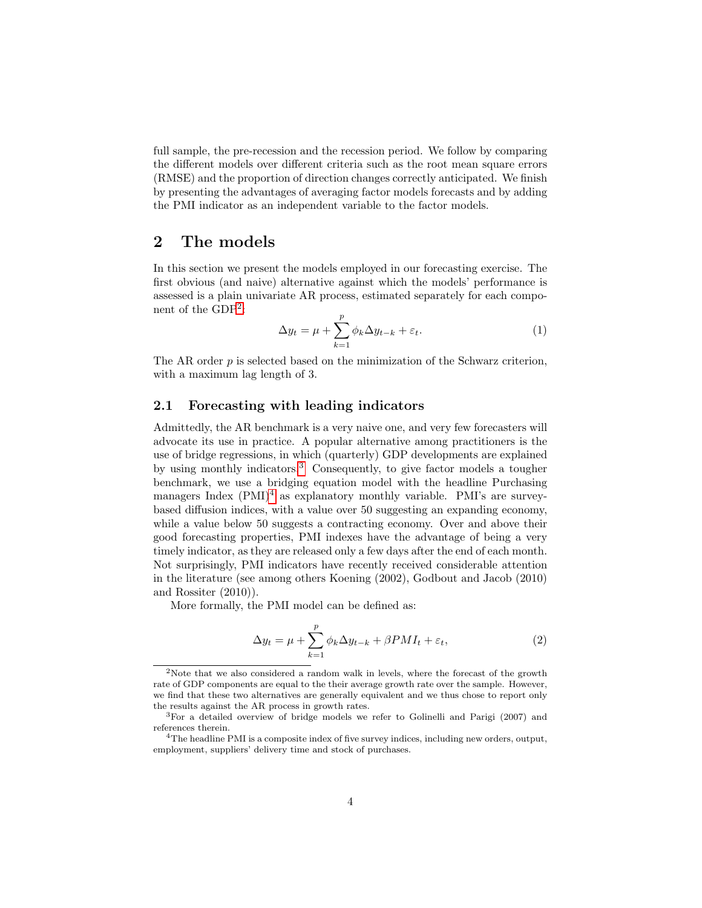full sample, the pre-recession and the recession period. We follow by comparing the different models over different criteria such as the root mean square errors (RMSE) and the proportion of direction changes correctly anticipated. We finish by presenting the advantages of averaging factor models forecasts and by adding the PMI indicator as an independent variable to the factor models.

## 2 The models

In this section we present the models employed in our forecasting exercise. The first obvious (and naive) alternative against which the models' performance is assessed is a plain univariate AR process, estimated separately for each compo-nent of the GDP<sup>[2](#page-5-0)</sup>:

$$
\Delta y_t = \mu + \sum_{k=1}^p \phi_k \Delta y_{t-k} + \varepsilon_t.
$$
 (1)

The AR order  $p$  is selected based on the minimization of the Schwarz criterion, with a maximum lag length of 3.

#### 2.1 Forecasting with leading indicators

Admittedly, the AR benchmark is a very naive one, and very few forecasters will advocate its use in practice. A popular alternative among practitioners is the use of bridge regressions, in which (quarterly) GDP developments are explained by using monthly indicators.[3](#page-5-1) Consequently, to give factor models a tougher benchmark, we use a bridging equation model with the headline Purchasing managers Index  $(PMI)^4$  $(PMI)^4$  as explanatory monthly variable. PMI's are surveybased diffusion indices, with a value over 50 suggesting an expanding economy, while a value below 50 suggests a contracting economy. Over and above their good forecasting properties, PMI indexes have the advantage of being a very timely indicator, as they are released only a few days after the end of each month. Not surprisingly, PMI indicators have recently received considerable attention in the literature (see among others Koening (2002), Godbout and Jacob (2010) and Rossiter (2010)).

More formally, the PMI model can be defined as:

<span id="page-5-3"></span>
$$
\Delta y_t = \mu + \sum_{k=1}^p \phi_k \Delta y_{t-k} + \beta P M I_t + \varepsilon_t,
$$
\n(2)

<span id="page-5-0"></span><sup>&</sup>lt;sup>2</sup>Note that we also considered a random walk in levels, where the forecast of the growth rate of GDP components are equal to the their average growth rate over the sample. However, we find that these two alternatives are generally equivalent and we thus chose to report only the results against the AR process in growth rates.

<span id="page-5-1"></span><sup>3</sup>For a detailed overview of bridge models we refer to Golinelli and Parigi (2007) and references therein.

<span id="page-5-2"></span><sup>&</sup>lt;sup>4</sup>The headline PMI is a composite index of five survey indices, including new orders, output, employment, suppliers' delivery time and stock of purchases.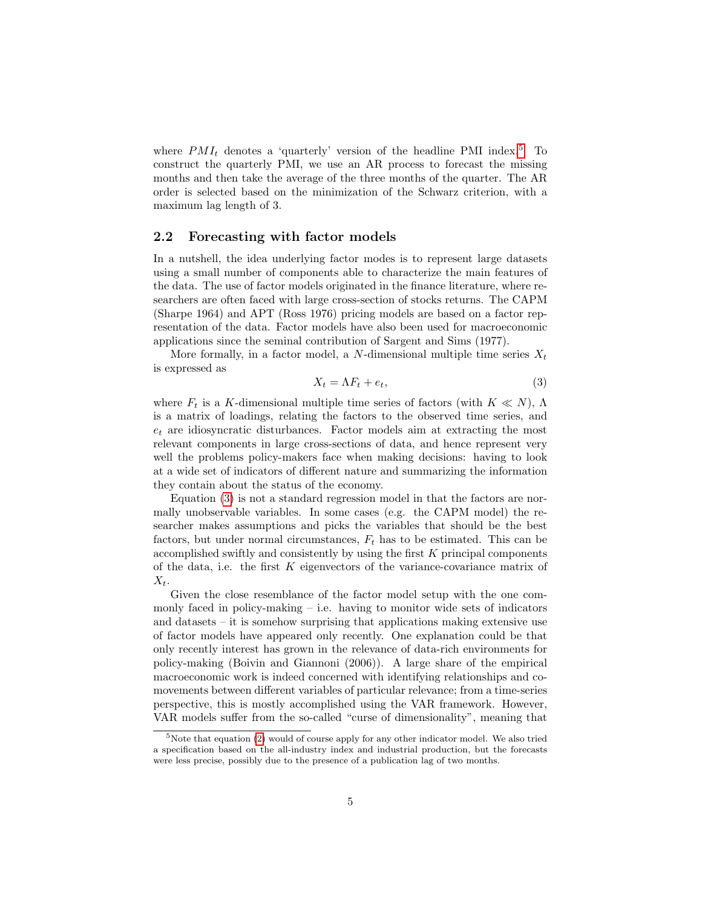where  $PMI_t$  denotes a 'quarterly' version of the headline PMI index.<sup>[5](#page-6-0)</sup> To construct the quarterly PMI, we use an AR process to forecast the missing months and then take the average of the three months of the quarter. The AR order is selected based on the minimization of the Schwarz criterion, with a maximum lag length of 3.

#### 2.2 Forecasting with factor models

In a nutshell, the idea underlying factor modes is to represent large datasets using a small number of components able to characterize the main features of the data. The use of factor models originated in the finance literature, where researchers are often faced with large cross-section of stocks returns. The CAPM (Sharpe 1964) and APT (Ross 1976) pricing models are based on a factor representation of the data. Factor models have also been used for macroeconomic applications since the seminal contribution of Sargent and Sims (1977).

More formally, in a factor model, a N-dimensional multiple time series  $X_t$ is expressed as

<span id="page-6-1"></span>
$$
X_t = \Lambda F_t + e_t,\tag{3}
$$

where  $F_t$  is a K-dimensional multiple time series of factors (with  $K \ll N$ ),  $\Lambda$ is a matrix of loadings, relating the factors to the observed time series, and  $e_t$  are idiosyncratic disturbances. Factor models aim at extracting the most relevant components in large cross-sections of data, and hence represent very well the problems policy-makers face when making decisions: having to look at a wide set of indicators of different nature and summarizing the information they contain about the status of the economy.

Equation [\(3\)](#page-6-1) is not a standard regression model in that the factors are normally unobservable variables. In some cases (e.g. the CAPM model) the researcher makes assumptions and picks the variables that should be the best factors, but under normal circumstances,  $F_t$  has to be estimated. This can be accomplished swiftly and consistently by using the first  $K$  principal components of the data, i.e. the first  $K$  eigenvectors of the variance-covariance matrix of  $X_t$ .

Given the close resemblance of the factor model setup with the one commonly faced in policy-making  $-$  i.e. having to monitor wide sets of indicators and datasets – it is somehow surprising that applications making extensive use of factor models have appeared only recently. One explanation could be that only recently interest has grown in the relevance of data-rich environments for policy-making (Boivin and Giannoni (2006)). A large share of the empirical macroeconomic work is indeed concerned with identifying relationships and comovements between different variables of particular relevance; from a time-series perspective, this is mostly accomplished using the VAR framework. However, VAR models suffer from the so-called "curse of dimensionality", meaning that

<span id="page-6-0"></span> $5$ Note that equation  $(2)$  would of course apply for any other indicator model. We also tried a specification based on the all-industry index and industrial production, but the forecasts were less precise, possibly due to the presence of a publication lag of two months.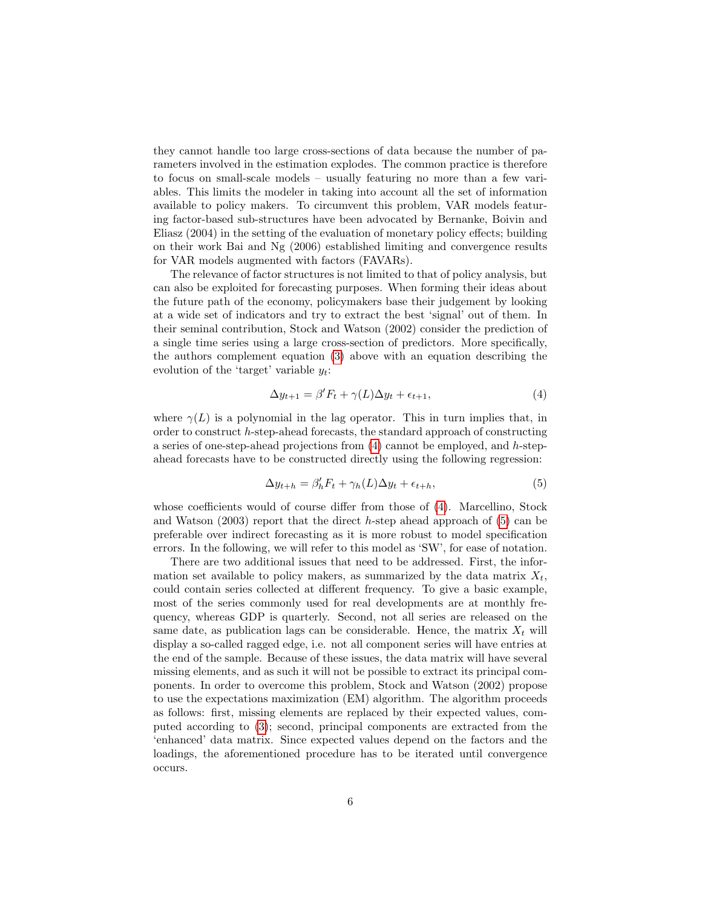they cannot handle too large cross-sections of data because the number of parameters involved in the estimation explodes. The common practice is therefore to focus on small-scale models – usually featuring no more than a few variables. This limits the modeler in taking into account all the set of information available to policy makers. To circumvent this problem, VAR models featuring factor-based sub-structures have been advocated by Bernanke, Boivin and Eliasz (2004) in the setting of the evaluation of monetary policy effects; building on their work Bai and Ng (2006) established limiting and convergence results for VAR models augmented with factors (FAVARs).

The relevance of factor structures is not limited to that of policy analysis, but can also be exploited for forecasting purposes. When forming their ideas about the future path of the economy, policymakers base their judgement by looking at a wide set of indicators and try to extract the best 'signal' out of them. In their seminal contribution, Stock and Watson (2002) consider the prediction of a single time series using a large cross-section of predictors. More specifically, the authors complement equation [\(3\)](#page-6-1) above with an equation describing the evolution of the 'target' variable  $y_t$ :

<span id="page-7-0"></span>
$$
\Delta y_{t+1} = \beta' F_t + \gamma(L)\Delta y_t + \epsilon_{t+1},\tag{4}
$$

where  $\gamma(L)$  is a polynomial in the lag operator. This in turn implies that, in order to construct h-step-ahead forecasts, the standard approach of constructing a series of one-step-ahead projections from [\(4\)](#page-7-0) cannot be employed, and h-stepahead forecasts have to be constructed directly using the following regression:

<span id="page-7-1"></span>
$$
\Delta y_{t+h} = \beta'_h F_t + \gamma_h(L)\Delta y_t + \epsilon_{t+h},\tag{5}
$$

whose coefficients would of course differ from those of [\(4\)](#page-7-0). Marcellino, Stock and Watson  $(2003)$  report that the direct h-step ahead approach of  $(5)$  can be preferable over indirect forecasting as it is more robust to model specification errors. In the following, we will refer to this model as 'SW', for ease of notation.

There are two additional issues that need to be addressed. First, the information set available to policy makers, as summarized by the data matrix  $X_t$ , could contain series collected at different frequency. To give a basic example, most of the series commonly used for real developments are at monthly frequency, whereas GDP is quarterly. Second, not all series are released on the same date, as publication lags can be considerable. Hence, the matrix  $X_t$  will display a so-called ragged edge, i.e. not all component series will have entries at the end of the sample. Because of these issues, the data matrix will have several missing elements, and as such it will not be possible to extract its principal components. In order to overcome this problem, Stock and Watson (2002) propose to use the expectations maximization (EM) algorithm. The algorithm proceeds as follows: first, missing elements are replaced by their expected values, computed according to [\(3\)](#page-6-1); second, principal components are extracted from the 'enhanced' data matrix. Since expected values depend on the factors and the loadings, the aforementioned procedure has to be iterated until convergence occurs.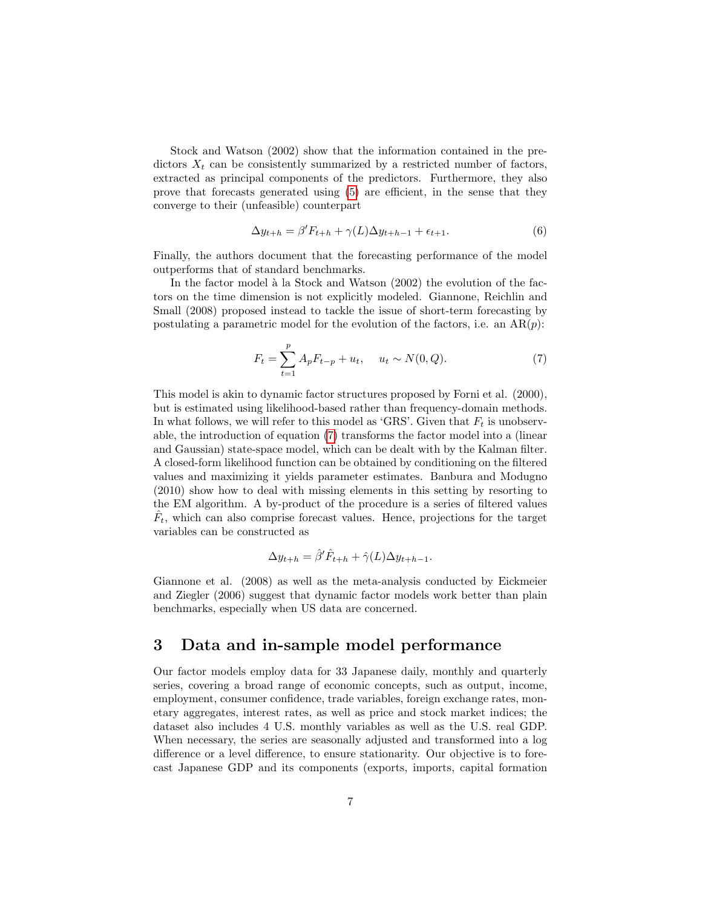Stock and Watson (2002) show that the information contained in the predictors  $X_t$  can be consistently summarized by a restricted number of factors, extracted as principal components of the predictors. Furthermore, they also prove that forecasts generated using [\(5\)](#page-7-1) are efficient, in the sense that they converge to their (unfeasible) counterpart

$$
\Delta y_{t+h} = \beta' F_{t+h} + \gamma(L) \Delta y_{t+h-1} + \epsilon_{t+1}.
$$
\n
$$
(6)
$$

Finally, the authors document that the forecasting performance of the model outperforms that of standard benchmarks.

In the factor model à la Stock and Watson (2002) the evolution of the factors on the time dimension is not explicitly modeled. Giannone, Reichlin and Small (2008) proposed instead to tackle the issue of short-term forecasting by postulating a parametric model for the evolution of the factors, i.e. an  $AR(p)$ :

<span id="page-8-0"></span>
$$
F_t = \sum_{t=1}^p A_p F_{t-p} + u_t, \quad u_t \sim N(0, Q). \tag{7}
$$

This model is akin to dynamic factor structures proposed by Forni et al. (2000), but is estimated using likelihood-based rather than frequency-domain methods. In what follows, we will refer to this model as 'GRS'. Given that  $F_t$  is unobservable, the introduction of equation [\(7\)](#page-8-0) transforms the factor model into a (linear and Gaussian) state-space model, which can be dealt with by the Kalman filter. A closed-form likelihood function can be obtained by conditioning on the filtered values and maximizing it yields parameter estimates. Banbura and Modugno (2010) show how to deal with missing elements in this setting by resorting to the EM algorithm. A by-product of the procedure is a series of filtered values  $\hat{F}_t$ , which can also comprise forecast values. Hence, projections for the target variables can be constructed as

$$
\Delta y_{t+h} = \hat{\beta}' \hat{F}_{t+h} + \hat{\gamma}(L) \Delta y_{t+h-1}.
$$

Giannone et al. (2008) as well as the meta-analysis conducted by Eickmeier and Ziegler (2006) suggest that dynamic factor models work better than plain benchmarks, especially when US data are concerned.

## 3 Data and in-sample model performance

Our factor models employ data for 33 Japanese daily, monthly and quarterly series, covering a broad range of economic concepts, such as output, income, employment, consumer confidence, trade variables, foreign exchange rates, monetary aggregates, interest rates, as well as price and stock market indices; the dataset also includes 4 U.S. monthly variables as well as the U.S. real GDP. When necessary, the series are seasonally adjusted and transformed into a log difference or a level difference, to ensure stationarity. Our objective is to forecast Japanese GDP and its components (exports, imports, capital formation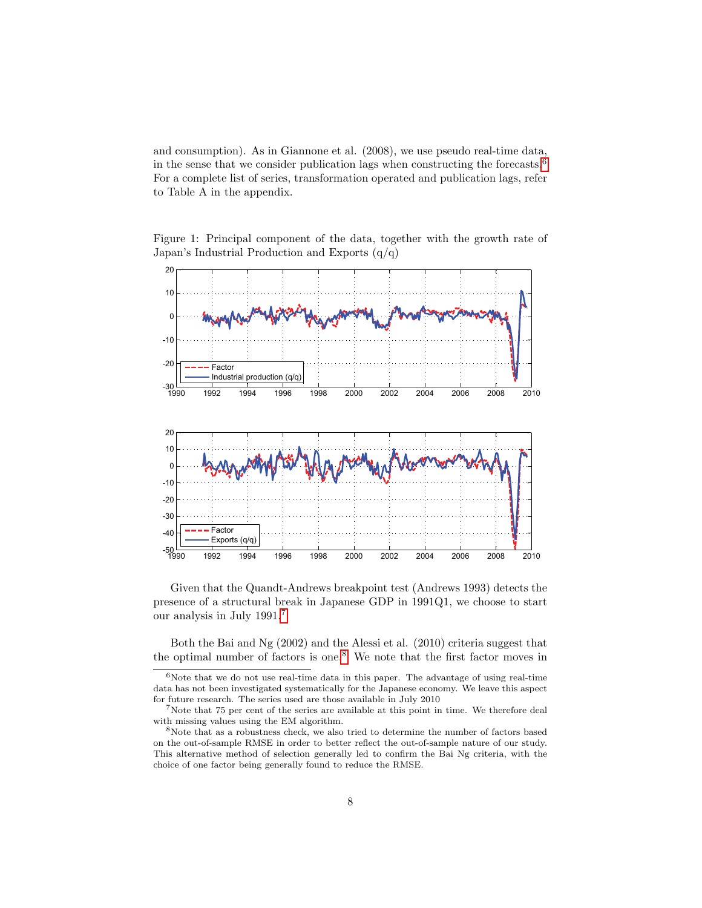and consumption). As in Giannone et al. (2008), we use pseudo real-time data, in the sense that we consider publication lags when constructing the forecasts.[6](#page-9-0) For a complete list of series, transformation operated and publication lags, refer to Table A in the appendix.

<span id="page-9-3"></span>Figure 1: Principal component of the data, together with the growth rate of Japan's Industrial Production and Exports  $(q/q)$ 



Given that the Quandt-Andrews breakpoint test (Andrews 1993) detects the presence of a structural break in Japanese GDP in 1991Q1, we choose to start our analysis in July 1991.[7](#page-9-1)

Both the Bai and Ng (2002) and the Alessi et al. (2010) criteria suggest that the optimal number of factors is one.<sup>[8](#page-9-2)</sup> We note that the first factor moves in

<span id="page-9-0"></span> $6$ Note that we do not use real-time data in this paper. The advantage of using real-time data has not been investigated systematically for the Japanese economy. We leave this aspect for future research. The series used are those available in July 2010

<span id="page-9-1"></span><sup>7</sup>Note that 75 per cent of the series are available at this point in time. We therefore deal with missing values using the EM algorithm.

<span id="page-9-2"></span><sup>8</sup>Note that as a robustness check, we also tried to determine the number of factors based on the out-of-sample RMSE in order to better reflect the out-of-sample nature of our study. This alternative method of selection generally led to confirm the Bai Ng criteria, with the choice of one factor being generally found to reduce the RMSE.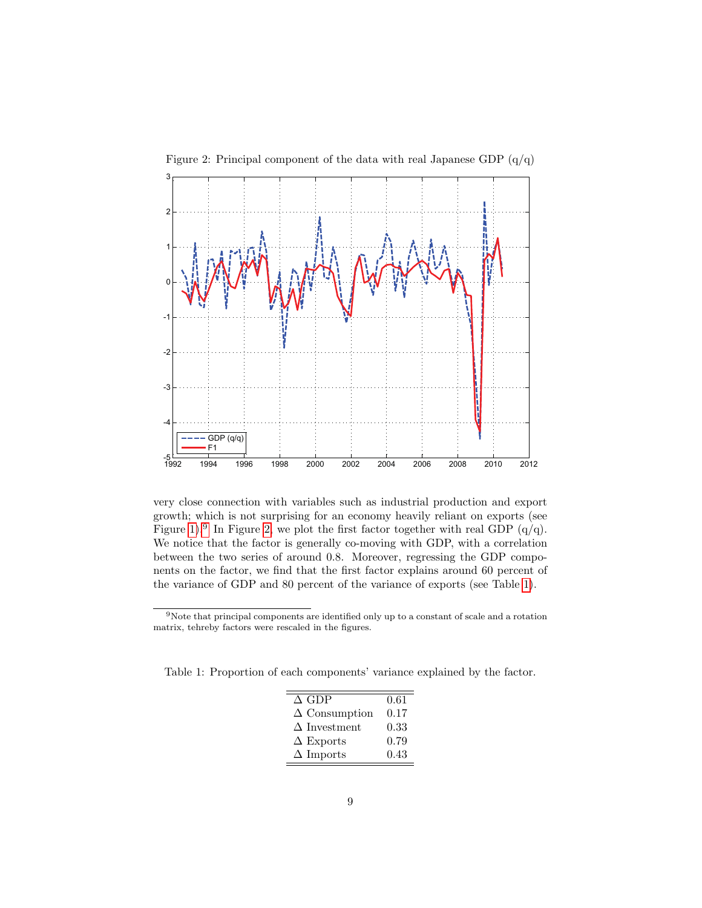

<span id="page-10-1"></span>Figure 2: Principal component of the data with real Japanese GDP  $(q/q)$ 

very close connection with variables such as industrial production and export growth; which is not surprising for an economy heavily reliant on exports (see Figure [1\)](#page-9-3).<sup>[9](#page-10-0)</sup> In Figure [2,](#page-10-1) we plot the first factor together with real GDP  $(q/q)$ . We notice that the factor is generally co-moving with GDP, with a correlation between the two series of around 0.8. Moreover, regressing the GDP components on the factor, we find that the first factor explains around 60 percent of the variance of GDP and 80 percent of the variance of exports (see Table [1\)](#page-9-3).

Table 1: Proportion of each components' variance explained by the factor.

| $\Delta$ GDP         | 0.61 |
|----------------------|------|
| $\Delta$ Consumption | 0.17 |
| $\Delta$ Investment  | 0.33 |
| $\Delta$ Exports     | 0.79 |
| $\Delta$ Imports     | 0.43 |

<span id="page-10-0"></span> $^9\rm{Note}$  that principal components are identified only up to a constant of scale and a rotation matrix, tehreby factors were rescaled in the figures.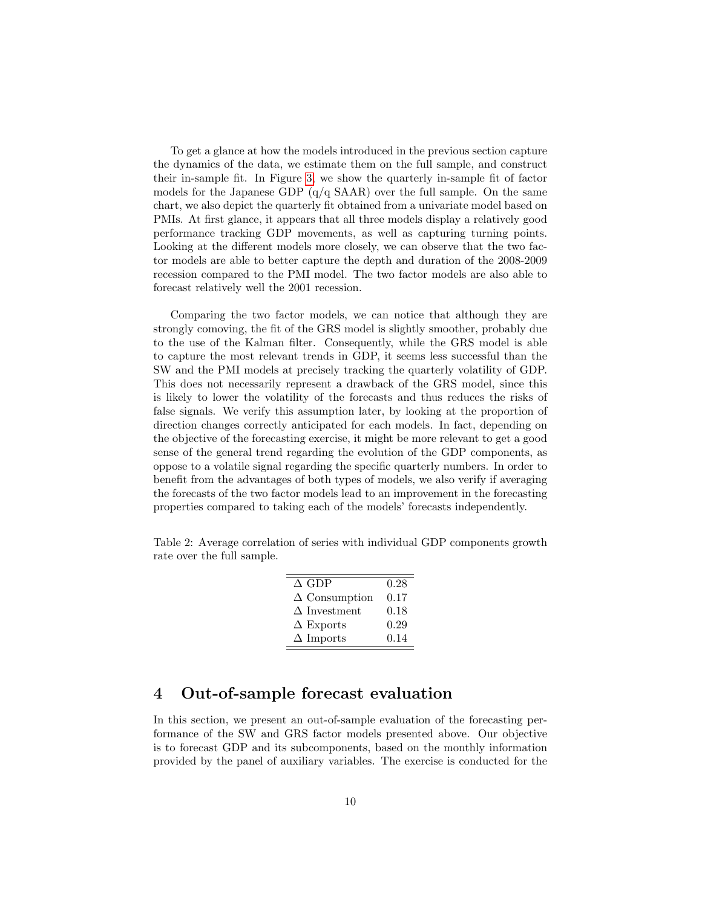To get a glance at how the models introduced in the previous section capture the dynamics of the data, we estimate them on the full sample, and construct their in-sample fit. In Figure [3,](#page-12-0) we show the quarterly in-sample fit of factor models for the Japanese GDP  $(q/q$  SAAR) over the full sample. On the same chart, we also depict the quarterly fit obtained from a univariate model based on PMIs. At first glance, it appears that all three models display a relatively good performance tracking GDP movements, as well as capturing turning points. Looking at the different models more closely, we can observe that the two factor models are able to better capture the depth and duration of the 2008-2009 recession compared to the PMI model. The two factor models are also able to forecast relatively well the 2001 recession.

Comparing the two factor models, we can notice that although they are strongly comoving, the fit of the GRS model is slightly smoother, probably due to the use of the Kalman filter. Consequently, while the GRS model is able to capture the most relevant trends in GDP, it seems less successful than the SW and the PMI models at precisely tracking the quarterly volatility of GDP. This does not necessarily represent a drawback of the GRS model, since this is likely to lower the volatility of the forecasts and thus reduces the risks of false signals. We verify this assumption later, by looking at the proportion of direction changes correctly anticipated for each models. In fact, depending on the objective of the forecasting exercise, it might be more relevant to get a good sense of the general trend regarding the evolution of the GDP components, as oppose to a volatile signal regarding the specific quarterly numbers. In order to benefit from the advantages of both types of models, we also verify if averaging the forecasts of the two factor models lead to an improvement in the forecasting properties compared to taking each of the models' forecasts independently.

<span id="page-11-0"></span>Table 2: Average correlation of series with individual GDP components growth rate over the full sample.

| $\Delta$ GDP         | 0.28 |
|----------------------|------|
| $\Delta$ Consumption | 0.17 |
| $\Delta$ Investment  | 0.18 |
| $\Delta$ Exports     | 0.29 |
| $\Delta$ Imports     | 0.14 |

## 4 Out-of-sample forecast evaluation

In this section, we present an out-of-sample evaluation of the forecasting performance of the SW and GRS factor models presented above. Our objective is to forecast GDP and its subcomponents, based on the monthly information provided by the panel of auxiliary variables. The exercise is conducted for the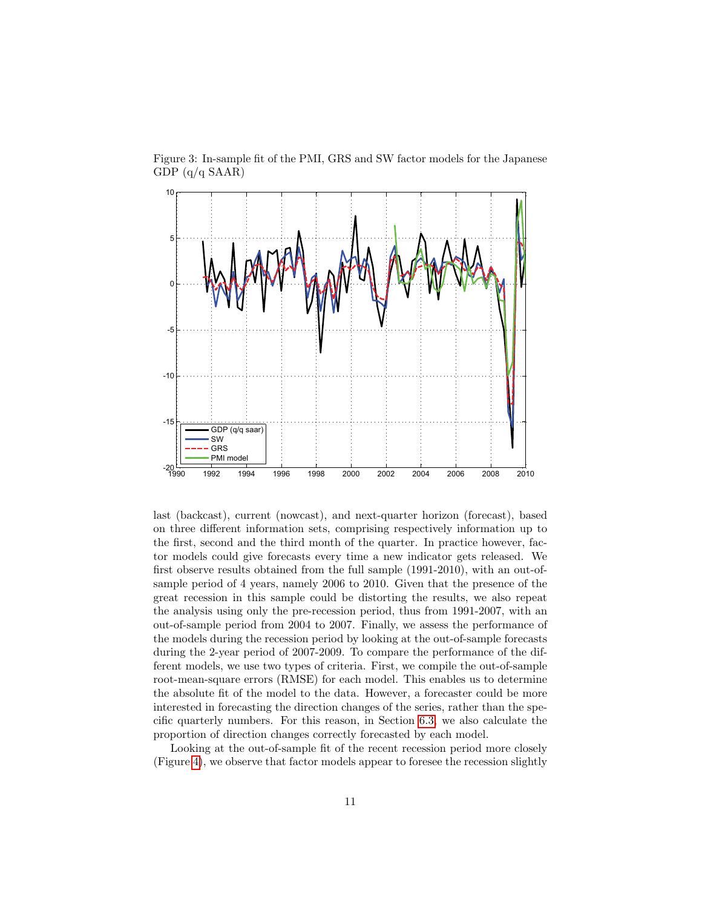

<span id="page-12-0"></span>Figure 3: In-sample fit of the PMI, GRS and SW factor models for the Japanese GDP (q/q SAAR)

last (backcast), current (nowcast), and next-quarter horizon (forecast), based on three different information sets, comprising respectively information up to the first, second and the third month of the quarter. In practice however, factor models could give forecasts every time a new indicator gets released. We first observe results obtained from the full sample (1991-2010), with an out-ofsample period of 4 years, namely 2006 to 2010. Given that the presence of the great recession in this sample could be distorting the results, we also repeat the analysis using only the pre-recession period, thus from 1991-2007, with an out-of-sample period from 2004 to 2007. Finally, we assess the performance of the models during the recession period by looking at the out-of-sample forecasts during the 2-year period of 2007-2009. To compare the performance of the different models, we use two types of criteria. First, we compile the out-of-sample root-mean-square errors (RMSE) for each model. This enables us to determine the absolute fit of the model to the data. However, a forecaster could be more interested in forecasting the direction changes of the series, rather than the specific quarterly numbers. For this reason, in Section [6.3,](#page-26-0) we also calculate the proportion of direction changes correctly forecasted by each model.

Looking at the out-of-sample fit of the recent recession period more closely (Figure [4\)](#page-14-0), we observe that factor models appear to foresee the recession slightly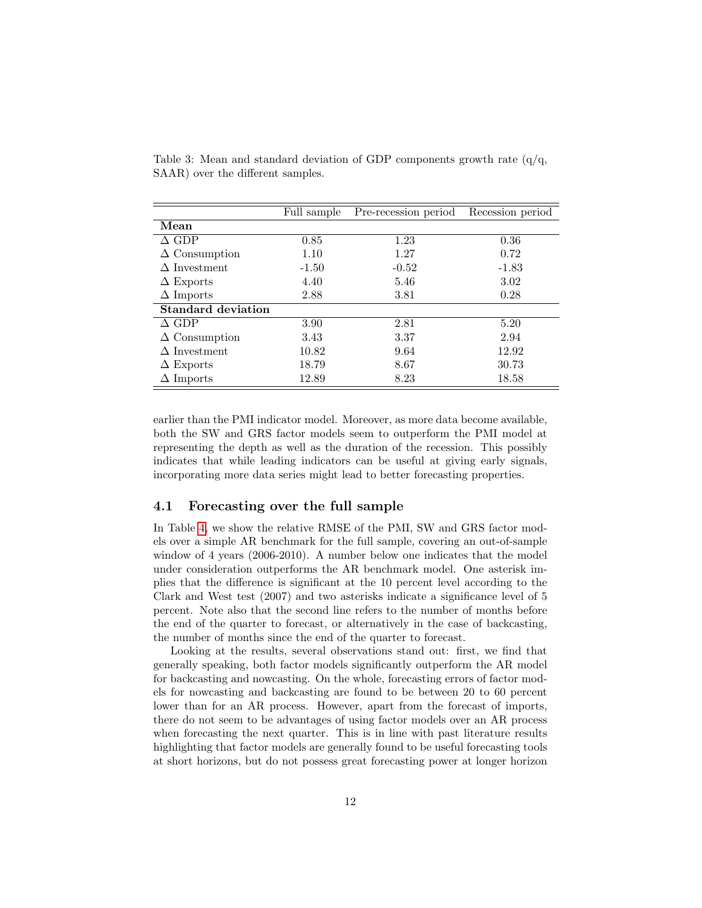|                           | Full sample | Pre-recession period | Recession period |
|---------------------------|-------------|----------------------|------------------|
| Mean                      |             |                      |                  |
| $\Delta$ GDP              | 0.85        | 1.23                 | 0.36             |
| $\Delta$ Consumption      | 1.10        | 1.27                 | 0.72             |
| $\Lambda$ Investment      | $-1.50$     | $-0.52$              | $-1.83$          |
| $\Delta$ Exports          | 4.40        | 5.46                 | 3.02             |
| $\Delta$ Imports          | 2.88        | 3.81                 | 0.28             |
| <b>Standard deviation</b> |             |                      |                  |
| $\Delta$ GDP              | 3.90        | 2.81                 | 5.20             |
| $\Delta$ Consumption      | 3.43        | 3.37                 | 2.94             |
| $\Delta$ Investment       | 10.82       | 9.64                 | 12.92            |
| $\Delta$ Exports          | 18.79       | 8.67                 | 30.73            |
| $\Delta$ Imports          | 12.89       | 8.23                 | 18.58            |

<span id="page-13-0"></span>Table 3: Mean and standard deviation of GDP components growth rate  $(q/q,$ SAAR) over the different samples.

earlier than the PMI indicator model. Moreover, as more data become available, both the SW and GRS factor models seem to outperform the PMI model at representing the depth as well as the duration of the recession. This possibly indicates that while leading indicators can be useful at giving early signals, incorporating more data series might lead to better forecasting properties.

#### 4.1 Forecasting over the full sample

In Table [4,](#page-15-0) we show the relative RMSE of the PMI, SW and GRS factor models over a simple AR benchmark for the full sample, covering an out-of-sample window of 4 years (2006-2010). A number below one indicates that the model under consideration outperforms the AR benchmark model. One asterisk implies that the difference is significant at the 10 percent level according to the Clark and West test (2007) and two asterisks indicate a significance level of 5 percent. Note also that the second line refers to the number of months before the end of the quarter to forecast, or alternatively in the case of backcasting, the number of months since the end of the quarter to forecast.

Looking at the results, several observations stand out: first, we find that generally speaking, both factor models significantly outperform the AR model for backcasting and nowcasting. On the whole, forecasting errors of factor models for nowcasting and backcasting are found to be between 20 to 60 percent lower than for an AR process. However, apart from the forecast of imports, there do not seem to be advantages of using factor models over an AR process when forecasting the next quarter. This is in line with past literature results highlighting that factor models are generally found to be useful forecasting tools at short horizons, but do not possess great forecasting power at longer horizon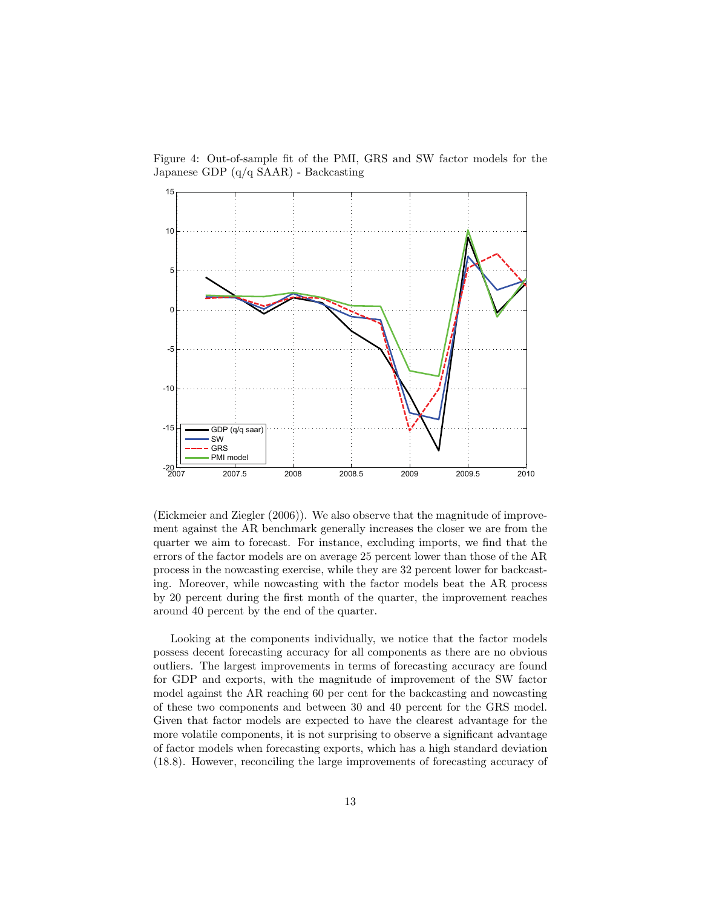<span id="page-14-0"></span>Figure 4: Out-of-sample fit of the PMI, GRS and SW factor models for the Japanese GDP (q/q SAAR) - Backcasting



(Eickmeier and Ziegler (2006)). We also observe that the magnitude of improvement against the AR benchmark generally increases the closer we are from the quarter we aim to forecast. For instance, excluding imports, we find that the errors of the factor models are on average 25 percent lower than those of the AR process in the nowcasting exercise, while they are 32 percent lower for backcasting. Moreover, while nowcasting with the factor models beat the AR process by 20 percent during the first month of the quarter, the improvement reaches around 40 percent by the end of the quarter.

Looking at the components individually, we notice that the factor models possess decent forecasting accuracy for all components as there are no obvious outliers. The largest improvements in terms of forecasting accuracy are found for GDP and exports, with the magnitude of improvement of the SW factor model against the AR reaching 60 per cent for the backcasting and nowcasting of these two components and between 30 and 40 percent for the GRS model. Given that factor models are expected to have the clearest advantage for the more volatile components, it is not surprising to observe a significant advantage of factor models when forecasting exports, which has a high standard deviation (18.8). However, reconciling the large improvements of forecasting accuracy of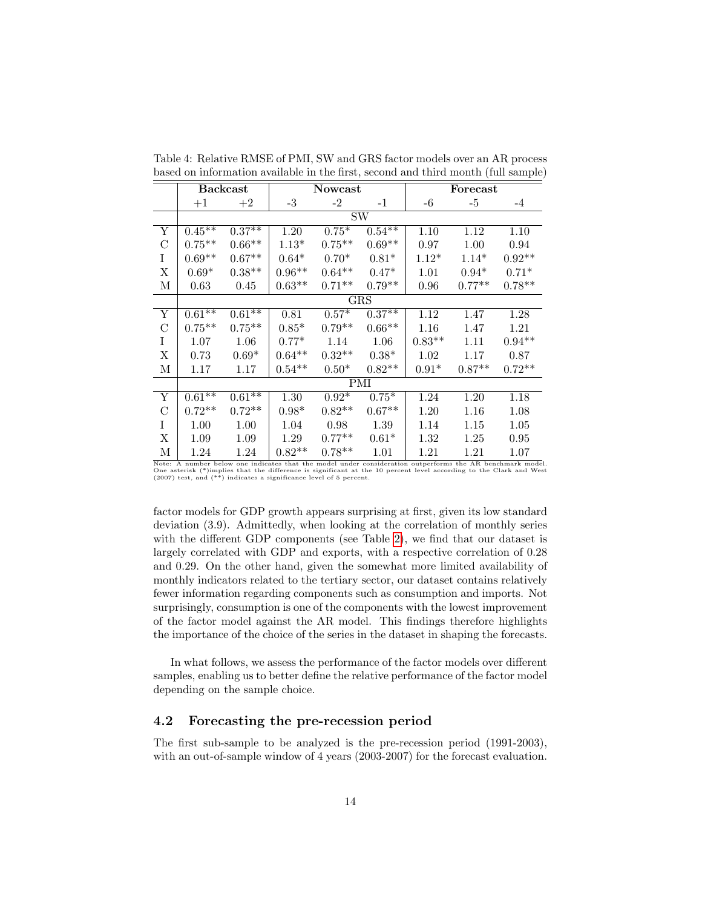|               |             | <b>Backcast</b> |          | <b>Nowcast</b> |            | Forecast |          |          |
|---------------|-------------|-----------------|----------|----------------|------------|----------|----------|----------|
|               | $+1$        | $+2$            | -3       | $-2$           | $-1$       | -6       | $-5$     | $-4$     |
|               |             |                 |          |                | <b>SW</b>  |          |          |          |
| Y             | $0.45**$    | $0.37**$        | 1.20     | $0.75*$        | $0.54**$   | 1.10     | 1.12     | 1.10     |
| $\mathcal{C}$ | $0.75**$    | $0.66**$        | $1.13*$  | $0.75**$       | $0.69**$   | 0.97     | 1.00     | 0.94     |
| T             | $0.69**$    | $0.67**$        | $0.64*$  | $0.70*$        | $0.81*$    | $1.12*$  | $1.14*$  | $0.92**$ |
| X             | $0.69*$     | $0.38**$        | $0.96**$ | $0.64**$       | $0.47*$    | 1.01     | $0.94*$  | $0.71*$  |
| М             | 0.63        | 0.45            | $0.63**$ | $0.71**$       | $0.79**$   | 0.96     | $0.77**$ | $0.78**$ |
|               |             |                 |          |                | <b>GRS</b> |          |          |          |
| Y             | $0.61^{**}$ | $0.61***$       | 0.81     | $0.57*$        | $0.37***$  | 1.12     | 1.47     | 1.28     |
| $\mathcal{C}$ | $0.75**$    | $0.75***$       | $0.85*$  | $0.79**$       | $0.66**$   | 1.16     | 1.47     | 1.21     |
| T             | 1.07        | 1.06            | $0.77*$  | 1.14           | 1.06       | $0.83**$ | 1.11     | $0.94**$ |
| X             | 0.73        | $0.69*$         | $0.64**$ | $0.32**$       | $0.38*$    | 1.02     | 1.17     | 0.87     |
| М             | 1.17        | 1.17            | $0.54**$ | $0.50*$        | $0.82**$   | $0.91*$  | $0.87**$ | $0.72**$ |
|               |             |                 |          |                | <b>PMI</b> |          |          |          |
| Y             | $0.61***$   | $0.61**$        | 1.30     | $0.92*$        | $0.75*$    | 1.24     | 1.20     | 1.18     |
| $\mathcal{C}$ | $0.72**$    | $0.72**$        | $0.98*$  | $0.82**$       | $0.67**$   | 1.20     | 1.16     | 1.08     |
| T             | 1.00        | 1.00            | 1.04     | 0.98           | 1.39       | 1.14     | 1.15     | 1.05     |
| Χ             | 1.09        | 1.09            | 1.29     | $0.77**$       | $0.61*$    | 1.32     | 1.25     | 0.95     |
| М             | 1.24        | 1.24            | $0.82**$ | $0.78**$       | 1.01       | 1.21     | 1.21     | 1.07     |

<span id="page-15-0"></span>Table 4: Relative RMSE of PMI, SW and GRS factor models over an AR process based on information available in the first, second and third month (full sample)

factor models for GDP growth appears surprising at first, given its low standard deviation (3.9). Admittedly, when looking at the correlation of monthly series with the different GDP components (see Table [2\)](#page-11-0), we find that our dataset is largely correlated with GDP and exports, with a respective correlation of 0.28 and 0.29. On the other hand, given the somewhat more limited availability of monthly indicators related to the tertiary sector, our dataset contains relatively fewer information regarding components such as consumption and imports. Not surprisingly, consumption is one of the components with the lowest improvement of the factor model against the AR model. This findings therefore highlights the importance of the choice of the series in the dataset in shaping the forecasts.

In what follows, we assess the performance of the factor models over different samples, enabling us to better define the relative performance of the factor model depending on the sample choice.

#### 4.2 Forecasting the pre-recession period

The first sub-sample to be analyzed is the pre-recession period (1991-2003), with an out-of-sample window of 4 years (2003-2007) for the forecast evaluation.

Note: A number below one indicates that the model under consideration outperforms the AR benchmark model. One asterisk (\*)implies that the difference is significant at the 10 percent level according to the Clark and West (2007) test, and (\*\*) indicates a significance level of 5 percent.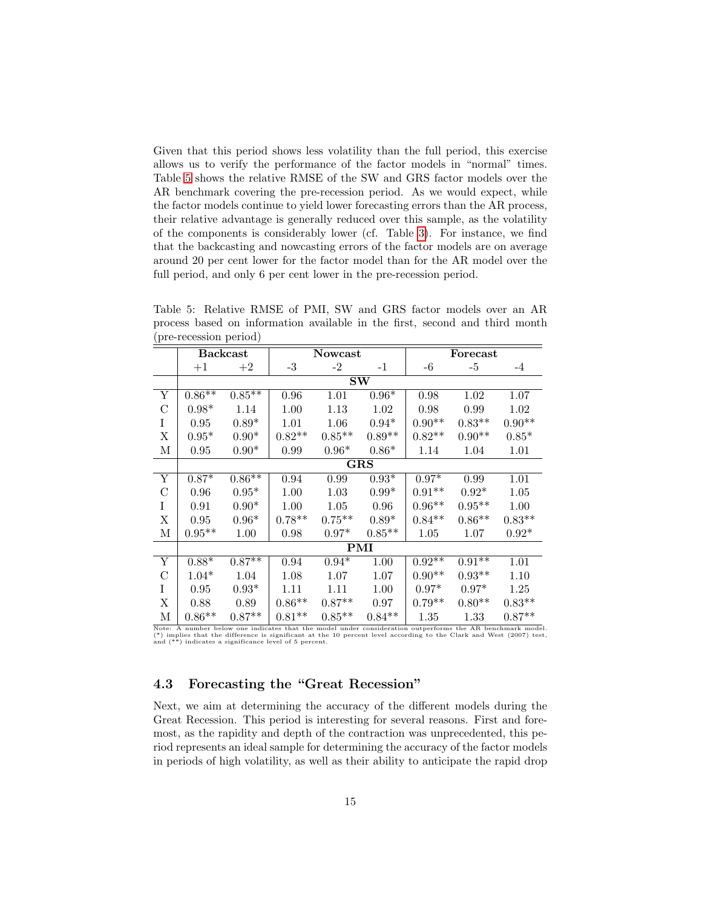Given that this period shows less volatility than the full period, this exercise allows us to verify the performance of the factor models in "normal" times. Table [5](#page-16-0) shows the relative RMSE of the SW and GRS factor models over the AR benchmark covering the pre-recession period. As we would expect, while the factor models continue to yield lower forecasting errors than the AR process, their relative advantage is generally reduced over this sample, as the volatility of the components is considerably lower (cf. Table [3\)](#page-13-0). For instance, we find that the backcasting and nowcasting errors of the factor models are on average around 20 per cent lower for the factor model than for the AR model over the full period, and only 6 per cent lower in the pre-recession period.

<span id="page-16-0"></span>Table 5: Relative RMSE of PMI, SW and GRS factor models over an AR process based on information available in the first, second and third month (pre-recession period)

|               |             | <b>Backcast</b><br><b>Nowcast</b> |          |          | Forecast                                                                                                            |          |          |          |
|---------------|-------------|-----------------------------------|----------|----------|---------------------------------------------------------------------------------------------------------------------|----------|----------|----------|
|               | $+1$        | $+2$                              | $-3$     | $-2$     | $-1$                                                                                                                | -6       | $-5$     | $-4$     |
|               |             |                                   |          |          | SW                                                                                                                  |          |          |          |
| Υ             | $0.86^{**}$ | $0.85**$                          | 0.96     | 1.01     | $0.96*$                                                                                                             | 0.98     | 1.02     | 1.07     |
| $\mathcal{C}$ | $0.98*$     | 1.14                              | 1.00     | 1.13     | 1.02                                                                                                                | 0.98     | 0.99     | 1.02     |
| Ι             | 0.95        | $0.89*$                           | 1.01     | 1.06     | $0.94*$                                                                                                             | $0.90**$ | $0.83**$ | $0.90**$ |
| X             | $0.95*$     | $0.90*$                           | $0.82**$ | $0.85**$ | $0.89**$                                                                                                            | $0.82**$ | $0.90**$ | $0.85*$  |
| М             | 0.95        | $0.90*$                           | 0.99     | $0.96*$  | $0.86*$                                                                                                             | 1.14     | 1.04     | 1.01     |
|               |             |                                   |          |          | <b>GRS</b>                                                                                                          |          |          |          |
| Υ             | $0.87*$     | $0.86**$                          | 0.94     | 0.99     | $0.93*$                                                                                                             | $0.97*$  | 0.99     | 1.01     |
| C             | 0.96        | $0.95*$                           | 1.00     | 1.03     | $0.99*$                                                                                                             | $0.91**$ | $0.92*$  | 1.05     |
| T             | 0.91        | $0.90*$                           | 1.00     | 1.05     | 0.96                                                                                                                | $0.96**$ | $0.95**$ | 1.00     |
| X             | 0.95        | $0.96*$                           | $0.78**$ | $0.75**$ | $0.89*$                                                                                                             | $0.84**$ | $0.86**$ | $0.83**$ |
| М             | $0.95**$    | 1.00                              | 0.98     | $0.97*$  | $0.85**$                                                                                                            | 1.05     | 1.07     | $0.92*$  |
|               |             |                                   |          |          | <b>PMI</b>                                                                                                          |          |          |          |
| Υ             | $0.88*$     | $0.87**$                          | 0.94     | $0.94*$  | 1.00                                                                                                                | $0.92**$ | $0.91**$ | 1.01     |
| $\mathcal{C}$ | $1.04*$     | 1.04                              | 1.08     | 1.07     | 1.07                                                                                                                | $0.90**$ | $0.93**$ | 1.10     |
| T             | 0.95        | $0.93*$                           | 1.11     | 1.11     | 1.00                                                                                                                | $0.97*$  | $0.97*$  | 1.25     |
| X             | 0.88        | 0.89                              | $0.86**$ | $0.87**$ | 0.97                                                                                                                | $0.79**$ | $0.80**$ | $0.83**$ |
| М             | $0.86**$    | $0.87**$                          | $0.81**$ | $0.85**$ | $0.84**$<br>Note: A number below one indicates that the model under consideration outperforms the AR benchmark mode | 1.35     | 1.33     | $0.87**$ |

Note: A number below one indicates that the model under consideration outperforms the AR benchmark model.<br>(\*) implies that the difference is significant at the 10 percent level according to the Clark and West (2007) test,

### 4.3 Forecasting the "Great Recession"

Next, we aim at determining the accuracy of the different models during the Great Recession. This period is interesting for several reasons. First and foremost, as the rapidity and depth of the contraction was unprecedented, this period represents an ideal sample for determining the accuracy of the factor models in periods of high volatility, as well as their ability to anticipate the rapid drop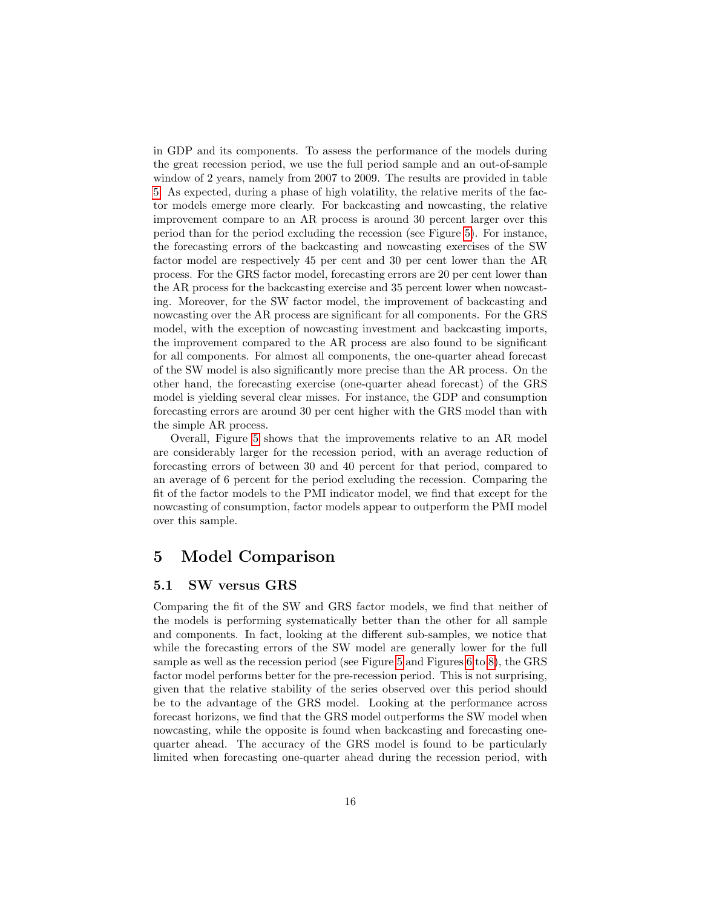in GDP and its components. To assess the performance of the models during the great recession period, we use the full period sample and an out-of-sample window of 2 years, namely from 2007 to 2009. The results are provided in table [5.](#page-16-0) As expected, during a phase of high volatility, the relative merits of the factor models emerge more clearly. For backcasting and nowcasting, the relative improvement compare to an AR process is around 30 percent larger over this period than for the period excluding the recession (see Figure [5\)](#page-19-0). For instance, the forecasting errors of the backcasting and nowcasting exercises of the SW factor model are respectively 45 per cent and 30 per cent lower than the AR process. For the GRS factor model, forecasting errors are 20 per cent lower than the AR process for the backcasting exercise and 35 percent lower when nowcasting. Moreover, for the SW factor model, the improvement of backcasting and nowcasting over the AR process are significant for all components. For the GRS model, with the exception of nowcasting investment and backcasting imports, the improvement compared to the AR process are also found to be significant for all components. For almost all components, the one-quarter ahead forecast of the SW model is also significantly more precise than the AR process. On the other hand, the forecasting exercise (one-quarter ahead forecast) of the GRS model is yielding several clear misses. For instance, the GDP and consumption forecasting errors are around 30 per cent higher with the GRS model than with the simple AR process.

Overall, Figure [5](#page-19-0) shows that the improvements relative to an AR model are considerably larger for the recession period, with an average reduction of forecasting errors of between 30 and 40 percent for that period, compared to an average of 6 percent for the period excluding the recession. Comparing the fit of the factor models to the PMI indicator model, we find that except for the nowcasting of consumption, factor models appear to outperform the PMI model over this sample.

## 5 Model Comparison

## 5.1 SW versus GRS

Comparing the fit of the SW and GRS factor models, we find that neither of the models is performing systematically better than the other for all sample and components. In fact, looking at the different sub-samples, we notice that while the forecasting errors of the SW model are generally lower for the full sample as well as the recession period (see Figure [5](#page-19-0) and Figures [6](#page-20-0) to [8\)](#page-22-0), the GRS factor model performs better for the pre-recession period. This is not surprising, given that the relative stability of the series observed over this period should be to the advantage of the GRS model. Looking at the performance across forecast horizons, we find that the GRS model outperforms the SW model when nowcasting, while the opposite is found when backcasting and forecasting onequarter ahead. The accuracy of the GRS model is found to be particularly limited when forecasting one-quarter ahead during the recession period, with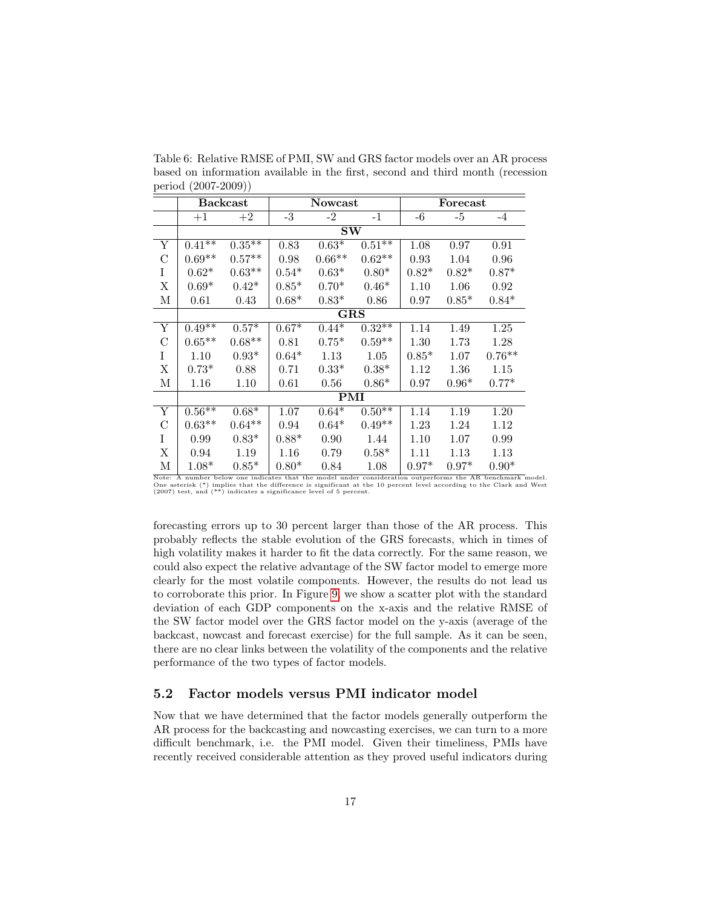<span id="page-18-0"></span>Table 6: Relative RMSE of PMI, SW and GRS factor models over an AR process based on information available in the first, second and third month (recession period (2007-2009))

|               |            | <b>Backcast</b> |         | <b>Nowcast</b> |           | Forecast |         |          |  |
|---------------|------------|-----------------|---------|----------------|-----------|----------|---------|----------|--|
|               | $+1$       | $+2$            | -3      | $-2$           | $-1$      | $-6$     | $-5$    | $-4$     |  |
|               |            |                 |         | <b>SW</b>      |           |          |         |          |  |
| Υ             | $0.41**$   | $0.35***$       | 0.83    | $0.63*$        | $0.51**$  | 1.08     | 0.97    | 0.91     |  |
| $\mathcal{C}$ | $0.69**$   | $0.57**$        | 0.98    | $0.66**$       | $0.62**$  | 0.93     | 1.04    | 0.96     |  |
| T             | $0.62*$    | $0.63**$        | $0.54*$ | $0.63*$        | $0.80*$   | $0.82*$  | $0.82*$ | $0.87*$  |  |
| Χ             | $0.69*$    | $0.42*$         | $0.85*$ | $0.70*$        | $0.46*$   | 1.10     | 1.06    | 0.92     |  |
| М             | 0.61       | 0.43            | $0.68*$ | $0.83*$        | 0.86      | 0.97     | $0.85*$ | $0.84*$  |  |
|               | <b>GRS</b> |                 |         |                |           |          |         |          |  |
| Υ             | $0.49**$   | $0.57*$         | $0.67*$ | $0.44*$        | $0.32***$ | 1.14     | 1.49    | 1.25     |  |
| $\mathcal{C}$ | $0.65**$   | $0.68**$        | 0.81    | $0.75*$        | $0.59**$  | 1.30     | 1.73    | 1.28     |  |
| T             | 1.10       | $0.93*$         | $0.64*$ | 1.13           | 1.05      | $0.85*$  | 1.07    | $0.76**$ |  |
| X             | $0.73*$    | 0.88            | 0.71    | $0.33*$        | $0.38*$   | 1.12     | 1.36    | 1.15     |  |
| М             | 1.16       | 1.10            | 0.61    | 0.56           | $0.86*$   | 0.97     | $0.96*$ | $0.77*$  |  |
|               |            |                 |         | <b>PMI</b>     |           |          |         |          |  |
| Υ             | $0.56*$    | $0.68*$         | 1.07    | $0.64*$        | $0.50**$  | 1.14     | 1.19    | 1.20     |  |
| $\mathcal{C}$ | $0.63**$   | $0.64**$        | 0.94    | $0.64*$        | $0.49**$  | 1.23     | 1.24    | 1.12     |  |
| I             | 0.99       | $0.83*$         | $0.88*$ | 0.90           | 1.44      | 1.10     | 1.07    | 0.99     |  |
| Χ             | 0.94       | 1.19            | 1.16    | 0.79           | $0.58*$   | 1.11     | 1.13    | 1.13     |  |
| М             | $1.08*$    | $0.85*$         | $0.80*$ | 0.84           | 1.08      | $0.97*$  | $0.97*$ | $0.90*$  |  |

M 1.08\* 0.85\* 0.80\* 0.84 1.08 0.97\* 0.97\* 0.90\* Note: A number below one indicates that the model under consideration outperforms the AR benchmark model. One asterisk (\*) implies that the difference is significant at the 10 percent level according to the Clark and West (2007) test, and (\*\*) indicates a significance level of 5 percent.

forecasting errors up to 30 percent larger than those of the AR process. This probably reflects the stable evolution of the GRS forecasts, which in times of high volatility makes it harder to fit the data correctly. For the same reason, we could also expect the relative advantage of the SW factor model to emerge more clearly for the most volatile components. However, the results do not lead us to corroborate this prior. In Figure [9,](#page-23-0) we show a scatter plot with the standard deviation of each GDP components on the x-axis and the relative RMSE of the SW factor model over the GRS factor model on the y-axis (average of the backcast, nowcast and forecast exercise) for the full sample. As it can be seen, there are no clear links between the volatility of the components and the relative performance of the two types of factor models.

### 5.2 Factor models versus PMI indicator model

Now that we have determined that the factor models generally outperform the AR process for the backcasting and nowcasting exercises, we can turn to a more difficult benchmark, i.e. the PMI model. Given their timeliness, PMIs have recently received considerable attention as they proved useful indicators during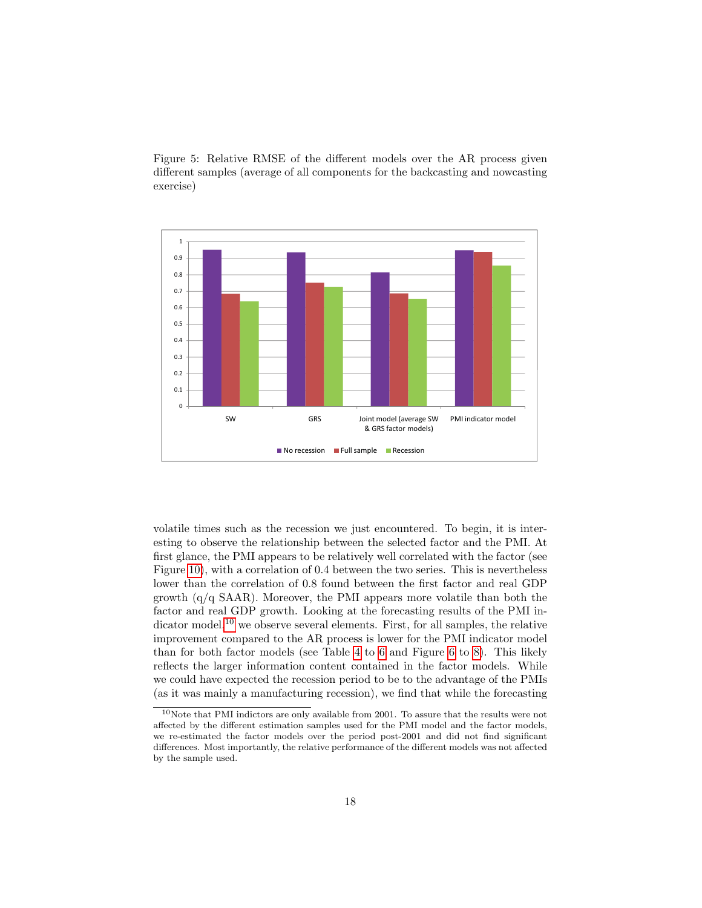<span id="page-19-0"></span>Figure 5: Relative RMSE of the different models over the AR process given different samples (average of all components for the backcasting and nowcasting exercise)



volatile times such as the recession we just encountered. To begin, it is interesting to observe the relationship between the selected factor and the PMI. At first glance, the PMI appears to be relatively well correlated with the factor (see Figure [10\)](#page-24-0), with a correlation of 0.4 between the two series. This is nevertheless lower than the correlation of 0.8 found between the first factor and real GDP growth  $(q/q$  SAAR). Moreover, the PMI appears more volatile than both the factor and real GDP growth. Looking at the forecasting results of the PMI in-dicator model,<sup>[10](#page-19-1)</sup> we observe several elements. First, for all samples, the relative improvement compared to the AR process is lower for the PMI indicator model than for both factor models (see Table [4](#page-15-0) to [6](#page-18-0) and Figure [6](#page-20-0) to [8\)](#page-22-0). This likely reflects the larger information content contained in the factor models. While we could have expected the recession period to be to the advantage of the PMIs (as it was mainly a manufacturing recession), we find that while the forecasting

<span id="page-19-1"></span><sup>&</sup>lt;sup>10</sup>Note that PMI indictors are only available from 2001. To assure that the results were not affected by the different estimation samples used for the PMI model and the factor models, we re-estimated the factor models over the period post-2001 and did not find significant differences. Most importantly, the relative performance of the different models was not affected by the sample used.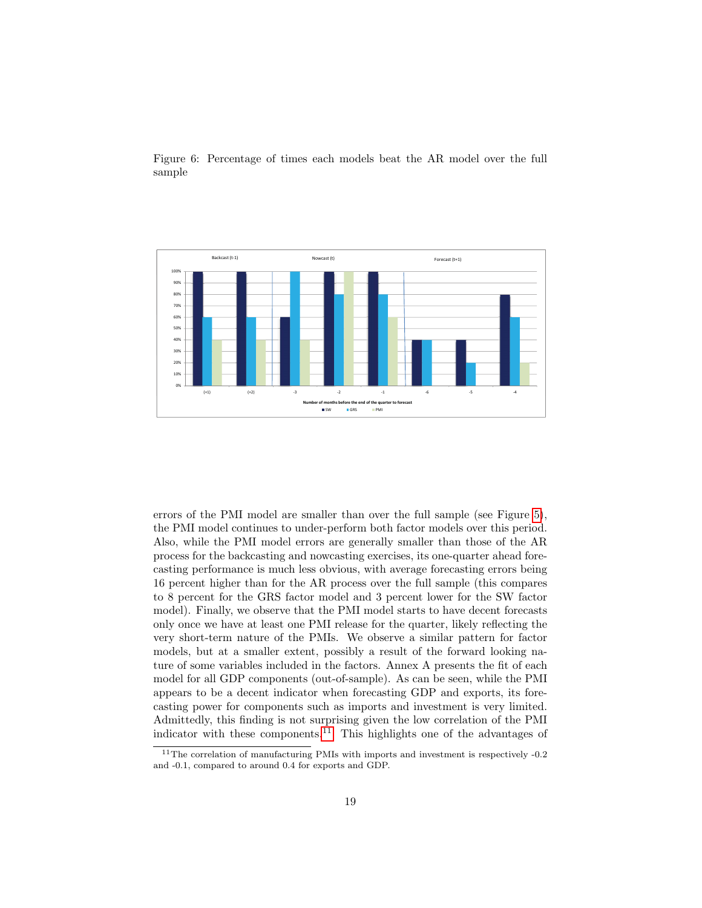<span id="page-20-0"></span>



errors of the PMI model are smaller than over the full sample (see Figure [5\)](#page-19-0), the PMI model continues to under-perform both factor models over this period. Also, while the PMI model errors are generally smaller than those of the AR process for the backcasting and nowcasting exercises, its one-quarter ahead forecasting performance is much less obvious, with average forecasting errors being 16 percent higher than for the AR process over the full sample (this compares to 8 percent for the GRS factor model and 3 percent lower for the SW factor model). Finally, we observe that the PMI model starts to have decent forecasts only once we have at least one PMI release for the quarter, likely reflecting the very short-term nature of the PMIs. We observe a similar pattern for factor models, but at a smaller extent, possibly a result of the forward looking nature of some variables included in the factors. Annex A presents the fit of each model for all GDP components (out-of-sample). As can be seen, while the PMI appears to be a decent indicator when forecasting GDP and exports, its forecasting power for components such as imports and investment is very limited. Admittedly, this finding is not surprising given the low correlation of the PMI indicator with these components.<sup>[11](#page-20-1)</sup> This highlights one of the advantages of

<span id="page-20-1"></span><sup>&</sup>lt;sup>11</sup>The correlation of manufacturing PMIs with imports and investment is respectively -0.2 and -0.1, compared to around 0.4 for exports and GDP.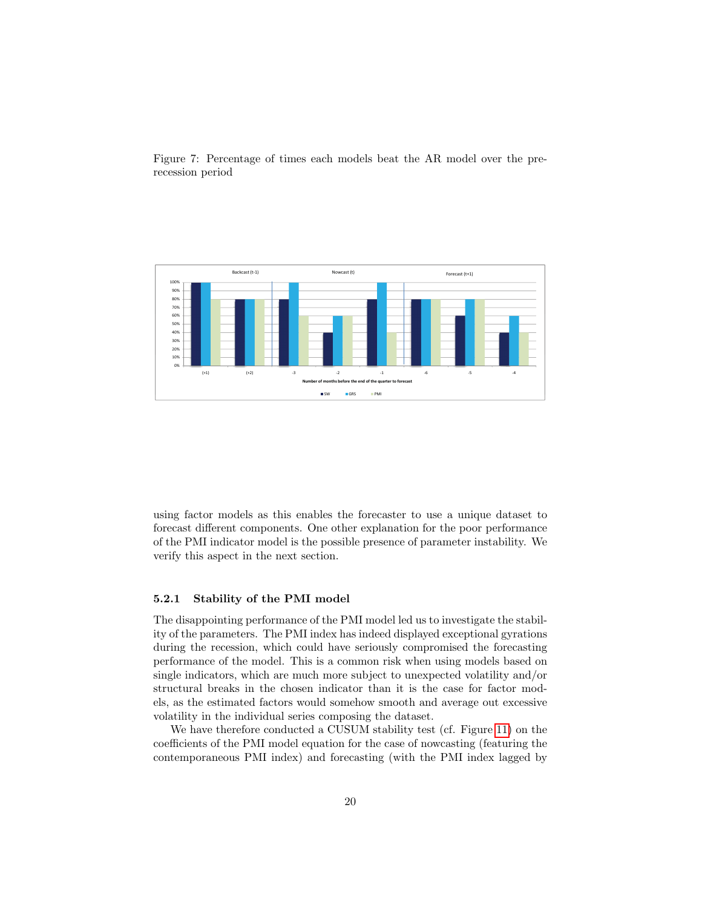



using factor models as this enables the forecaster to use a unique dataset to forecast different components. One other explanation for the poor performance of the PMI indicator model is the possible presence of parameter instability. We verify this aspect in the next section.

#### 5.2.1 Stability of the PMI model

The disappointing performance of the PMI model led us to investigate the stability of the parameters. The PMI index has indeed displayed exceptional gyrations during the recession, which could have seriously compromised the forecasting performance of the model. This is a common risk when using models based on single indicators, which are much more subject to unexpected volatility and/or structural breaks in the chosen indicator than it is the case for factor models, as the estimated factors would somehow smooth and average out excessive volatility in the individual series composing the dataset.

We have therefore conducted a CUSUM stability test (cf. Figure [11\)](#page-25-0) on the coefficients of the PMI model equation for the case of nowcasting (featuring the contemporaneous PMI index) and forecasting (with the PMI index lagged by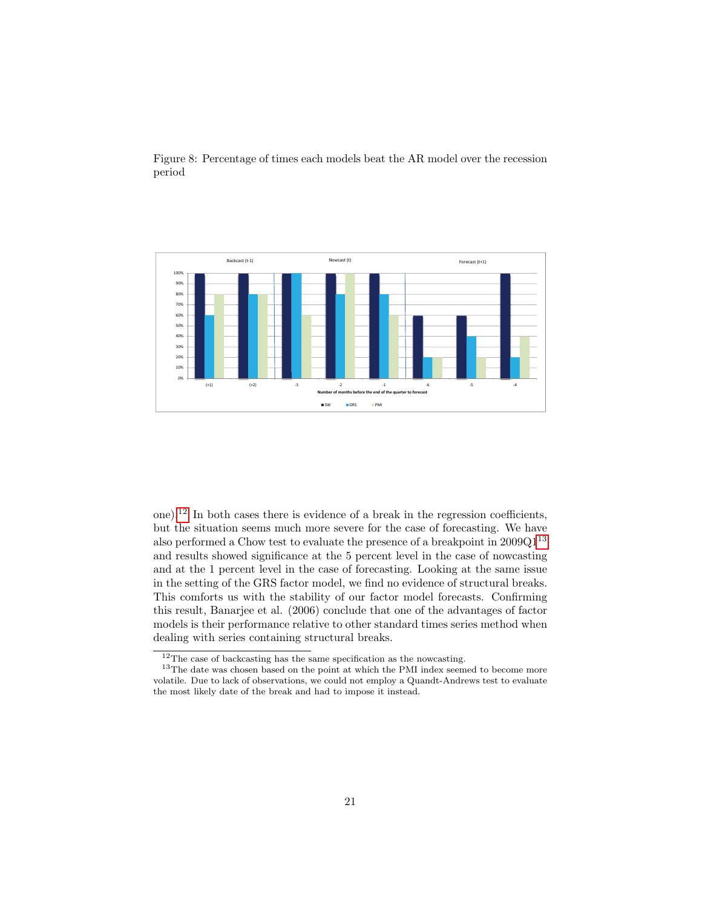

<span id="page-22-0"></span>Figure 8: Percentage of times each models beat the AR model over the recession period

one).<sup>[12](#page-22-1)</sup> In both cases there is evidence of a break in the regression coefficients, but the situation seems much more severe for the case of forecasting. We have also performed a Chow test to evaluate the presence of a breakpoint in  $2009Q1^{13}$  $2009Q1^{13}$  $2009Q1^{13}$ and results showed significance at the 5 percent level in the case of nowcasting and at the 1 percent level in the case of forecasting. Looking at the same issue in the setting of the GRS factor model, we find no evidence of structural breaks. This comforts us with the stability of our factor model forecasts. Confirming this result, Banarjee et al. (2006) conclude that one of the advantages of factor models is their performance relative to other standard times series method when dealing with series containing structural breaks.

<span id="page-22-2"></span><span id="page-22-1"></span> $^{12}{\rm The}$  case of backcasting has the same specification as the now<br>casting.

<sup>&</sup>lt;sup>13</sup>The date was chosen based on the point at which the PMI index seemed to become more volatile. Due to lack of observations, we could not employ a Quandt-Andrews test to evaluate the most likely date of the break and had to impose it instead.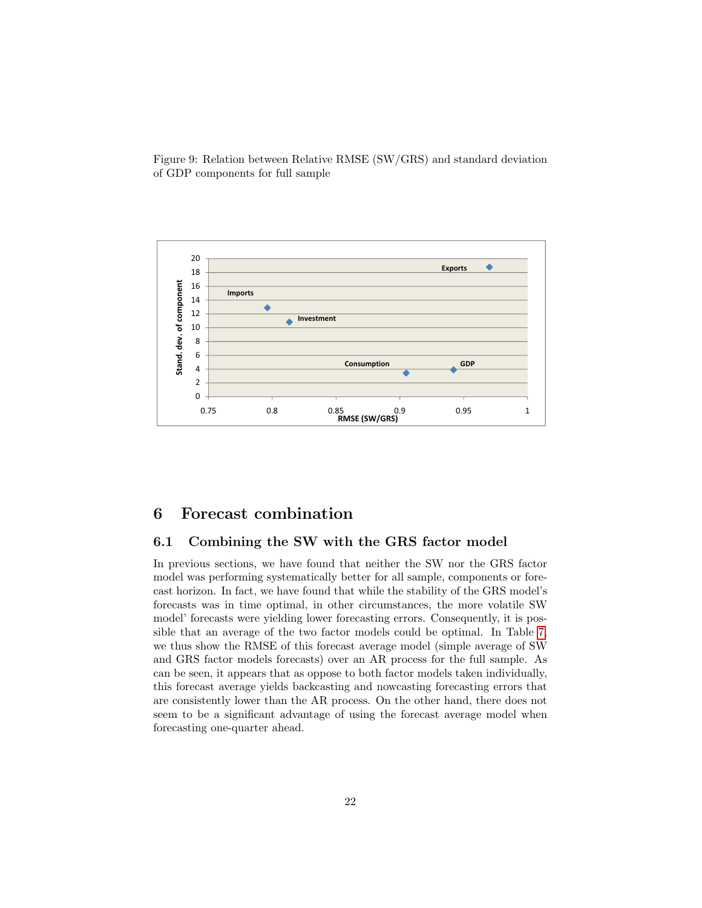<span id="page-23-0"></span>Figure 9: Relation between Relative RMSE (SW/GRS) and standard deviation of GDP components for full sample



## 6 Forecast combination

#### 6.1 Combining the SW with the GRS factor model

In previous sections, we have found that neither the SW nor the GRS factor model was performing systematically better for all sample, components or forecast horizon. In fact, we have found that while the stability of the GRS model's forecasts was in time optimal, in other circumstances, the more volatile SW model' forecasts were yielding lower forecasting errors. Consequently, it is possible that an average of the two factor models could be optimal. In Table [7,](#page-25-1) we thus show the RMSE of this forecast average model (simple average of SW and GRS factor models forecasts) over an AR process for the full sample. As can be seen, it appears that as oppose to both factor models taken individually, this forecast average yields backcasting and nowcasting forecasting errors that are consistently lower than the AR process. On the other hand, there does not seem to be a significant advantage of using the forecast average model when forecasting one-quarter ahead.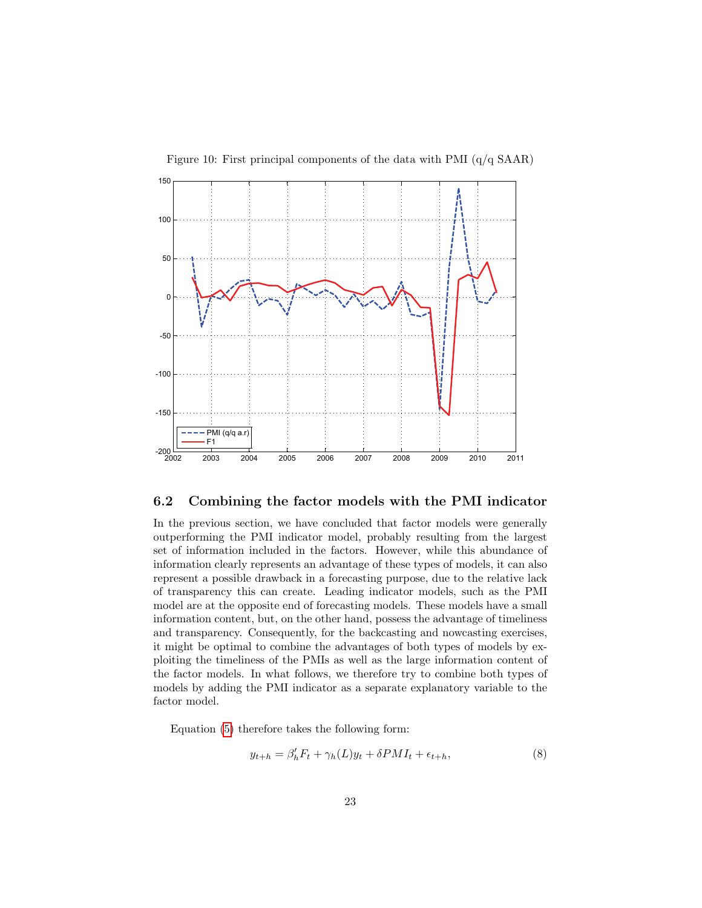

<span id="page-24-0"></span>Figure 10: First principal components of the data with PMI  $(q/q$  SAAR)

#### 6.2 Combining the factor models with the PMI indicator

In the previous section, we have concluded that factor models were generally outperforming the PMI indicator model, probably resulting from the largest set of information included in the factors. However, while this abundance of information clearly represents an advantage of these types of models, it can also represent a possible drawback in a forecasting purpose, due to the relative lack of transparency this can create. Leading indicator models, such as the PMI model are at the opposite end of forecasting models. These models have a small information content, but, on the other hand, possess the advantage of timeliness and transparency. Consequently, for the backcasting and nowcasting exercises, it might be optimal to combine the advantages of both types of models by exploiting the timeliness of the PMIs as well as the large information content of the factor models. In what follows, we therefore try to combine both types of models by adding the PMI indicator as a separate explanatory variable to the factor model.

Equation [\(5\)](#page-7-1) therefore takes the following form:

$$
y_{t+h} = \beta'_h F_t + \gamma_h(L)y_t + \delta PMI_t + \epsilon_{t+h},\tag{8}
$$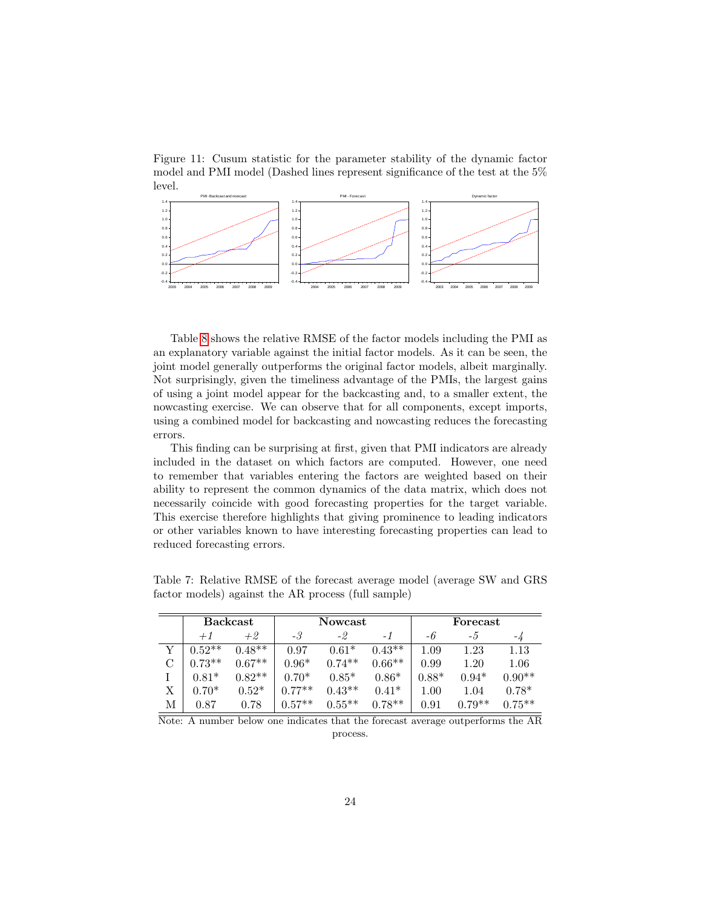<span id="page-25-0"></span>Figure 11: Cusum statistic for the parameter stability of the dynamic factor model and PMI model (Dashed lines represent significance of the test at the 5% level.



Table [8](#page-26-1) shows the relative RMSE of the factor models including the PMI as an explanatory variable against the initial factor models. As it can be seen, the joint model generally outperforms the original factor models, albeit marginally. Not surprisingly, given the timeliness advantage of the PMIs, the largest gains of using a joint model appear for the backcasting and, to a smaller extent, the nowcasting exercise. We can observe that for all components, except imports, using a combined model for backcasting and nowcasting reduces the forecasting errors.

This finding can be surprising at first, given that PMI indicators are already included in the dataset on which factors are computed. However, one need to remember that variables entering the factors are weighted based on their ability to represent the common dynamics of the data matrix, which does not necessarily coincide with good forecasting properties for the target variable. This exercise therefore highlights that giving prominence to leading indicators or other variables known to have interesting forecasting properties can lead to reduced forecasting errors.

|   | <b>Backcast</b>         |                        | <b>Nowcast</b> |           |          | Forecast |          |           |
|---|-------------------------|------------------------|----------------|-----------|----------|----------|----------|-----------|
|   | $+1$                    | $+2$                   | -3             | -2        | - 1      | -6       | $-5$     | $-4$      |
|   | $0.52^{\bar{*}\bar{*}}$ | $0.48^{\overline{**}}$ | 0.97           | $0.61*$   | $0.43**$ | $1.09\,$ | 1.23     | 1.13      |
| C | $0.73**$                | $0.67**$               | $0.96*$        | $0.74**$  | $0.66**$ | 0.99     | 1.20     | 1.06      |
|   | $0.81*$                 | $0.82**$               | $0.70*$        | $0.85*$   | $0.86*$  | $0.88*$  | $0.94*$  | $0.90**$  |
| Χ | $0.70*$                 | $0.52*$                | $0.77***$      | $0.43**$  | $0.41*$  | 1.00     | 1.04     | $0.78*$   |
| М | 0.87                    | 0.78                   | $0.57**$       | $0.55***$ | $0.78**$ | 0.91     | $0.79**$ | $0.75***$ |

<span id="page-25-1"></span>Table 7: Relative RMSE of the forecast average model (average SW and GRS factor models) against the AR process (full sample)

Note: A number below one indicates that the forecast average outperforms the AR process.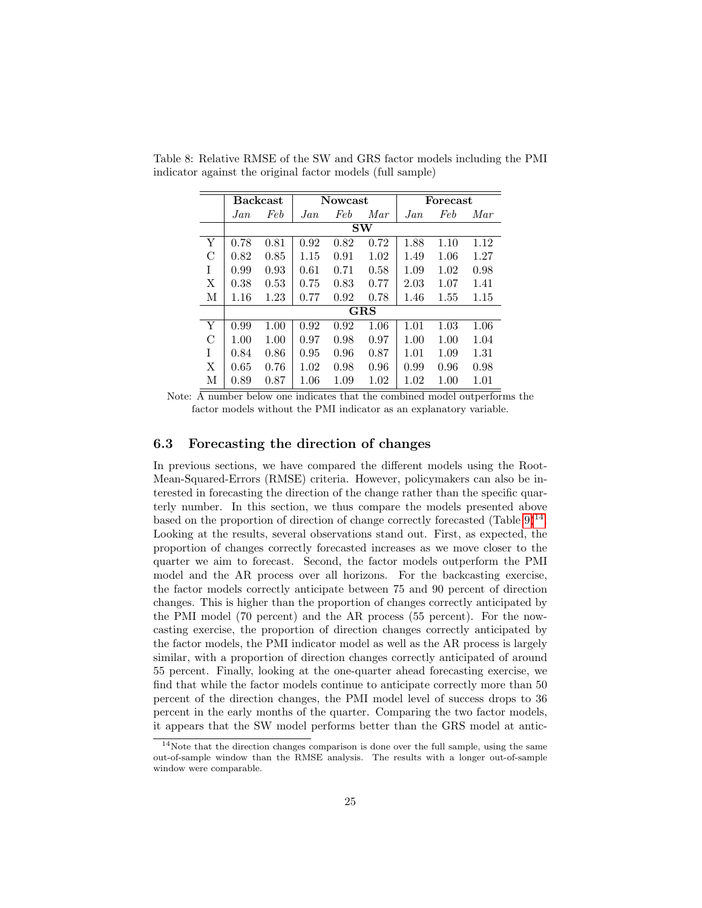<span id="page-26-1"></span>

|               |      | <b>Backcast</b> | <b>Nowcast</b> |      |      | Forecast |      |      |
|---------------|------|-----------------|----------------|------|------|----------|------|------|
|               | Jan  | Feb             | Jan            | Feb  | Mar  | Jan      | Feb  | Mar  |
|               |      |                 |                |      | SW   |          |      |      |
| Y             | 0.78 | 0.81            | 0.92           | 0.82 | 0.72 | 1.88     | 1.10 | 1.12 |
| $\mathcal{C}$ | 0.82 | 0.85            | 1.15           | 0.91 | 1.02 | 1.49     | 1.06 | 1.27 |
| T             | 0.99 | 0.93            | 0.61           | 0.71 | 0.58 | 1.09     | 1.02 | 0.98 |
| X             | 0.38 | 0.53            | 0.75           | 0.83 | 0.77 | 2.03     | 1.07 | 1.41 |
| M             | 1.16 | 1.23            | 0.77           | 0.92 | 0.78 | 1.46     | 1.55 | 1.15 |
|               |      |                 |                |      | GRS  |          |      |      |
| Y             | 0.99 | 1.00            | 0.92           | 0.92 | 1.06 | 1.01     | 1.03 | 1.06 |
| $\mathcal{C}$ | 1.00 | 1.00            | 0.97           | 0.98 | 0.97 | 1.00     | 1.00 | 1.04 |
| T             | 0.84 | 0.86            | 0.95           | 0.96 | 0.87 | 1.01     | 1.09 | 1.31 |
| X             | 0.65 | 0.76            | 1.02           | 0.98 | 0.96 | 0.99     | 0.96 | 0.98 |
| М             | 0.89 | 0.87            | 1.06           | 1.09 | 1.02 | 1.02     | 1.00 | 1.01 |

Table 8: Relative RMSE of the SW and GRS factor models including the PMI indicator against the original factor models (full sample)

Note: A number below one indicates that the combined model outperforms the factor models without the PMI indicator as an explanatory variable.

#### <span id="page-26-0"></span>6.3 Forecasting the direction of changes

In previous sections, we have compared the different models using the Root-Mean-Squared-Errors (RMSE) criteria. However, policymakers can also be interested in forecasting the direction of the change rather than the specific quarterly number. In this section, we thus compare the models presented above based on the proportion of direction of change correctly forecasted (Table  $9)^{14}$  $9)^{14}$  $9)^{14}$ . Looking at the results, several observations stand out. First, as expected, the proportion of changes correctly forecasted increases as we move closer to the quarter we aim to forecast. Second, the factor models outperform the PMI model and the AR process over all horizons. For the backcasting exercise, the factor models correctly anticipate between 75 and 90 percent of direction changes. This is higher than the proportion of changes correctly anticipated by the PMI model (70 percent) and the AR process (55 percent). For the nowcasting exercise, the proportion of direction changes correctly anticipated by the factor models, the PMI indicator model as well as the AR process is largely similar, with a proportion of direction changes correctly anticipated of around 55 percent. Finally, looking at the one-quarter ahead forecasting exercise, we find that while the factor models continue to anticipate correctly more than 50 percent of the direction changes, the PMI model level of success drops to 36 percent in the early months of the quarter. Comparing the two factor models, it appears that the SW model performs better than the GRS model at antic-

<span id="page-26-2"></span><sup>&</sup>lt;sup>14</sup>Note that the direction changes comparison is done over the full sample, using the same out-of-sample window than the RMSE analysis. The results with a longer out-of-sample window were comparable.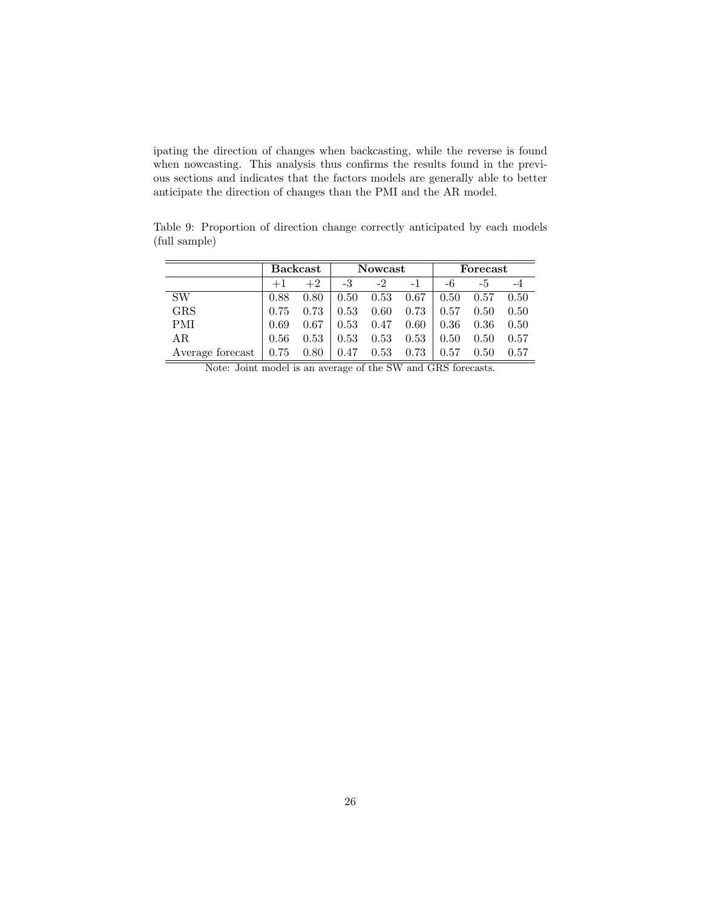ipating the direction of changes when backcasting, while the reverse is found when nowcasting. This analysis thus confirms the results found in the previous sections and indicates that the factors models are generally able to better anticipate the direction of changes than the PMI and the AR model.

(full sample) Backcast Nowcast Forecast  $+1$   $+2$   $-3$   $-2$   $-1$   $-6$   $-5$   $-4$ 

<span id="page-27-0"></span>Table 9: Proportion of direction change correctly anticipated by each models

|     |      | pacncasi | <b>THOMOGOL</b> |  |                                                                                           | r or ceas |  |  |
|-----|------|----------|-----------------|--|-------------------------------------------------------------------------------------------|-----------|--|--|
|     | $+1$ |          |                 |  | $+2$ $-3$ $-2$ $-1$ $-6$ $-5$                                                             |           |  |  |
| SW. |      |          |                 |  | $\vert 0.88 \quad 0.80 \vert 0.50 \quad 0.53 \quad 0.67 \vert 0.50 \quad 0.57 \quad 0.50$ |           |  |  |
| GRS |      |          |                 |  |                                                                                           |           |  |  |
| PMI |      |          |                 |  |                                                                                           |           |  |  |
| AR  |      |          |                 |  | $\vert 0.56 \quad 0.53 \vert 0.53 \quad 0.53 \quad 0.53 \vert 0.50 \quad 0.50 \quad 0.57$ |           |  |  |
|     |      |          |                 |  |                                                                                           |           |  |  |

Note: Joint model is an average of the SW and GRS forecasts.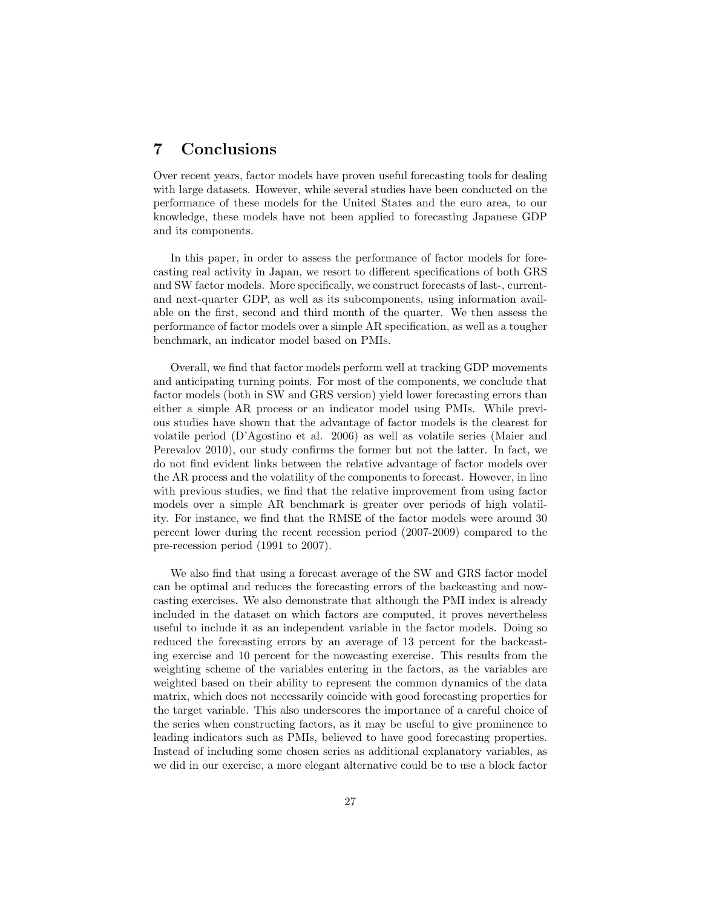## 7 Conclusions

Over recent years, factor models have proven useful forecasting tools for dealing with large datasets. However, while several studies have been conducted on the performance of these models for the United States and the euro area, to our knowledge, these models have not been applied to forecasting Japanese GDP and its components.

In this paper, in order to assess the performance of factor models for forecasting real activity in Japan, we resort to different specifications of both GRS and SW factor models. More specifically, we construct forecasts of last-, currentand next-quarter GDP, as well as its subcomponents, using information available on the first, second and third month of the quarter. We then assess the performance of factor models over a simple AR specification, as well as a tougher benchmark, an indicator model based on PMIs.

Overall, we find that factor models perform well at tracking GDP movements and anticipating turning points. For most of the components, we conclude that factor models (both in SW and GRS version) yield lower forecasting errors than either a simple AR process or an indicator model using PMIs. While previous studies have shown that the advantage of factor models is the clearest for volatile period (D'Agostino et al. 2006) as well as volatile series (Maier and Perevalov 2010), our study confirms the former but not the latter. In fact, we do not find evident links between the relative advantage of factor models over the AR process and the volatility of the components to forecast. However, in line with previous studies, we find that the relative improvement from using factor models over a simple AR benchmark is greater over periods of high volatility. For instance, we find that the RMSE of the factor models were around 30 percent lower during the recent recession period (2007-2009) compared to the pre-recession period (1991 to 2007).

We also find that using a forecast average of the SW and GRS factor model can be optimal and reduces the forecasting errors of the backcasting and nowcasting exercises. We also demonstrate that although the PMI index is already included in the dataset on which factors are computed, it proves nevertheless useful to include it as an independent variable in the factor models. Doing so reduced the forecasting errors by an average of 13 percent for the backcasting exercise and 10 percent for the nowcasting exercise. This results from the weighting scheme of the variables entering in the factors, as the variables are weighted based on their ability to represent the common dynamics of the data matrix, which does not necessarily coincide with good forecasting properties for the target variable. This also underscores the importance of a careful choice of the series when constructing factors, as it may be useful to give prominence to leading indicators such as PMIs, believed to have good forecasting properties. Instead of including some chosen series as additional explanatory variables, as we did in our exercise, a more elegant alternative could be to use a block factor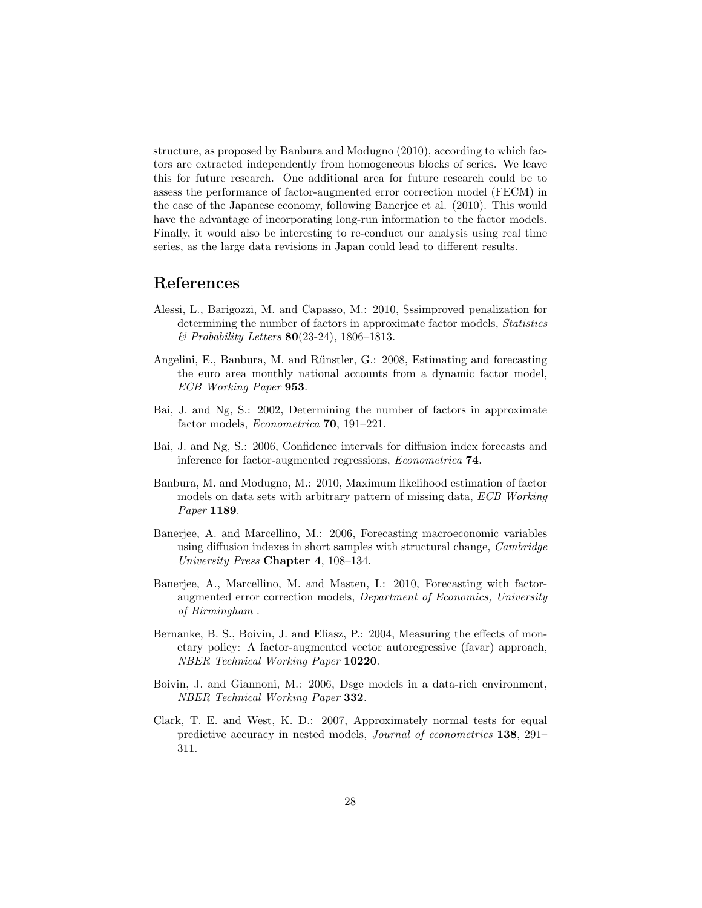structure, as proposed by Banbura and Modugno (2010), according to which factors are extracted independently from homogeneous blocks of series. We leave this for future research. One additional area for future research could be to assess the performance of factor-augmented error correction model (FECM) in the case of the Japanese economy, following Banerjee et al. (2010). This would have the advantage of incorporating long-run information to the factor models. Finally, it would also be interesting to re-conduct our analysis using real time series, as the large data revisions in Japan could lead to different results.

## References

- Alessi, L., Barigozzi, M. and Capasso, M.: 2010, Sssimproved penalization for determining the number of factors in approximate factor models, Statistics  $\&$  Probability Letters 80(23-24), 1806-1813.
- Angelini, E., Banbura, M. and Rünstler, G.: 2008, Estimating and forecasting the euro area monthly national accounts from a dynamic factor model, ECB Working Paper 953.
- Bai, J. and Ng, S.: 2002, Determining the number of factors in approximate factor models, Econometrica 70, 191–221.
- Bai, J. and Ng, S.: 2006, Confidence intervals for diffusion index forecasts and inference for factor-augmented regressions, Econometrica 74.
- Banbura, M. and Modugno, M.: 2010, Maximum likelihood estimation of factor models on data sets with arbitrary pattern of missing data, ECB Working Paper 1189.
- Banerjee, A. and Marcellino, M.: 2006, Forecasting macroeconomic variables using diffusion indexes in short samples with structural change, Cambridge University Press Chapter 4, 108–134.
- Banerjee, A., Marcellino, M. and Masten, I.: 2010, Forecasting with factoraugmented error correction models, Department of Economics, University of Birmingham .
- Bernanke, B. S., Boivin, J. and Eliasz, P.: 2004, Measuring the effects of monetary policy: A factor-augmented vector autoregressive (favar) approach, NBER Technical Working Paper 10220.
- Boivin, J. and Giannoni, M.: 2006, Dsge models in a data-rich environment, NBER Technical Working Paper 332.
- Clark, T. E. and West, K. D.: 2007, Approximately normal tests for equal predictive accuracy in nested models, Journal of econometrics 138, 291– 311.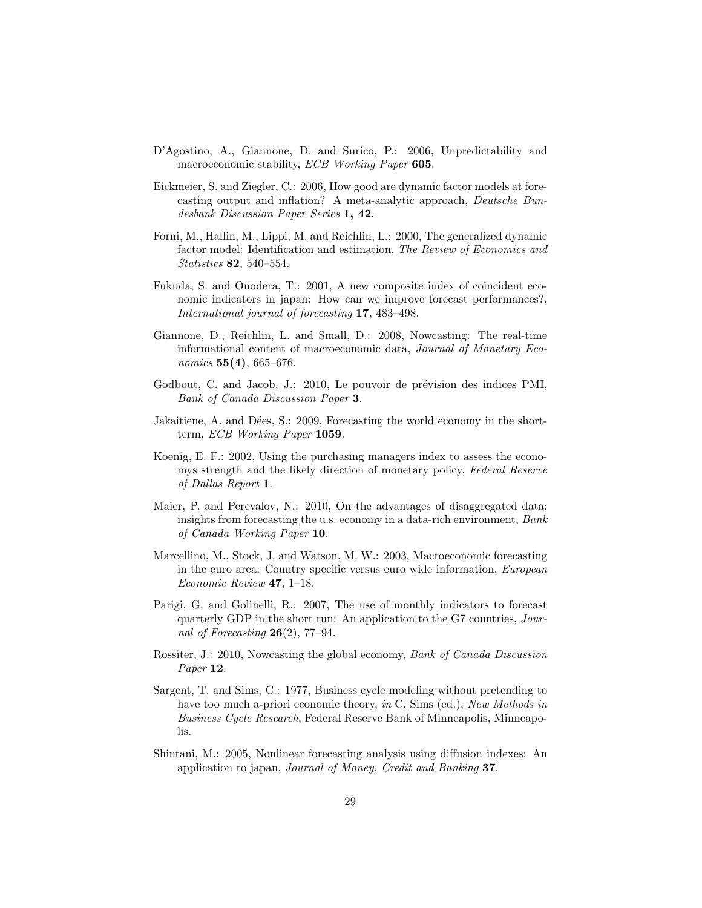- D'Agostino, A., Giannone, D. and Surico, P.: 2006, Unpredictability and macroeconomic stability, ECB Working Paper 605.
- Eickmeier, S. and Ziegler, C.: 2006, How good are dynamic factor models at forecasting output and inflation? A meta-analytic approach, Deutsche Bundesbank Discussion Paper Series 1, 42.
- Forni, M., Hallin, M., Lippi, M. and Reichlin, L.: 2000, The generalized dynamic factor model: Identification and estimation, The Review of Economics and Statistics 82, 540–554.
- Fukuda, S. and Onodera, T.: 2001, A new composite index of coincident economic indicators in japan: How can we improve forecast performances?, International journal of forecasting 17, 483–498.
- Giannone, D., Reichlin, L. and Small, D.: 2008, Nowcasting: The real-time informational content of macroeconomic data, Journal of Monetary Economics  $55(4)$ , 665–676.
- Godbout, C. and Jacob, J.: 2010, Le pouvoir de prévision des indices PMI, Bank of Canada Discussion Paper 3.
- Jakaitiene, A. and Dées, S.: 2009, Forecasting the world economy in the shortterm, ECB Working Paper 1059.
- Koenig, E. F.: 2002, Using the purchasing managers index to assess the economys strength and the likely direction of monetary policy, Federal Reserve of Dallas Report 1.
- Maier, P. and Perevalov, N.: 2010, On the advantages of disaggregated data: insights from forecasting the u.s. economy in a data-rich environment, Bank of Canada Working Paper 10.
- Marcellino, M., Stock, J. and Watson, M. W.: 2003, Macroeconomic forecasting in the euro area: Country specific versus euro wide information, European Economic Review 47, 1–18.
- Parigi, G. and Golinelli, R.: 2007, The use of monthly indicators to forecast quarterly GDP in the short run: An application to the G7 countries, Journal of Forecasting  $26(2)$ , 77-94.
- Rossiter, J.: 2010, Nowcasting the global economy, Bank of Canada Discussion Paper 12.
- Sargent, T. and Sims, C.: 1977, Business cycle modeling without pretending to have too much a-priori economic theory, in C. Sims (ed.), New Methods in Business Cycle Research, Federal Reserve Bank of Minneapolis, Minneapolis.
- Shintani, M.: 2005, Nonlinear forecasting analysis using diffusion indexes: An application to japan, Journal of Money, Credit and Banking 37.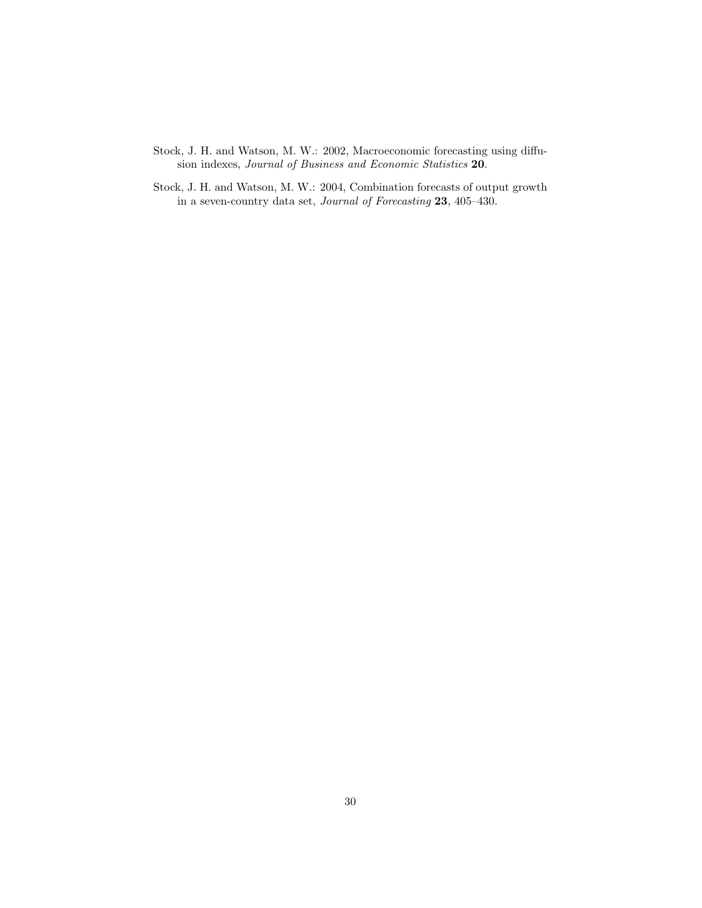- Stock, J. H. and Watson, M. W.: 2002, Macroeconomic forecasting using diffusion indexes, Journal of Business and Economic Statistics 20.
- Stock, J. H. and Watson, M. W.: 2004, Combination forecasts of output growth in a seven-country data set, Journal of Forecasting 23, 405–430.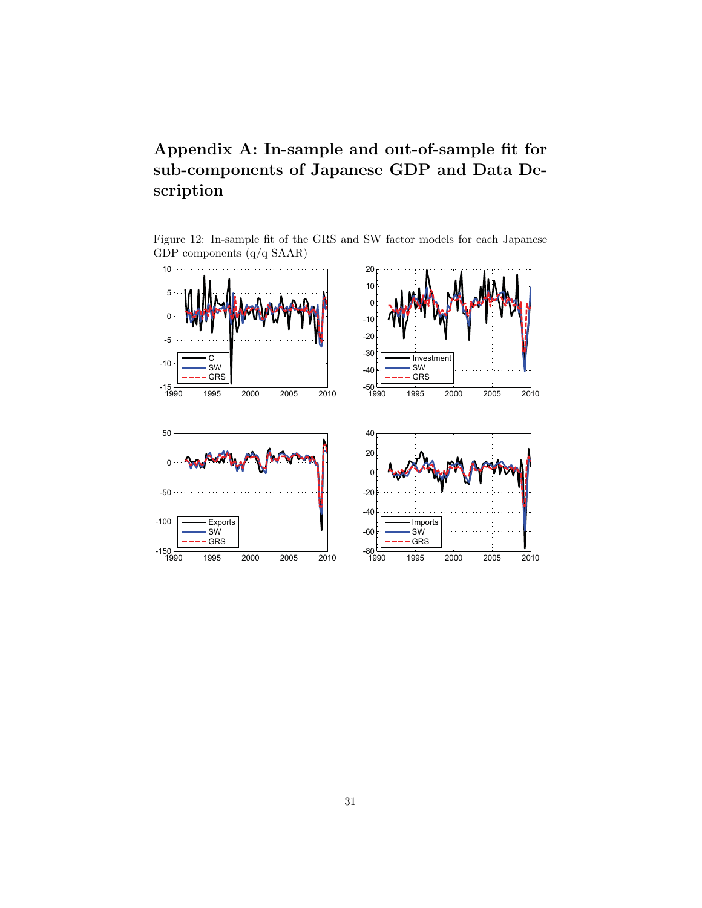## Appendix A: In-sample and out-of-sample fit for sub-components of Japanese GDP and Data Description

Figure 12: In-sample fit of the GRS and SW factor models for each Japanese GDP components (q/q SAAR)

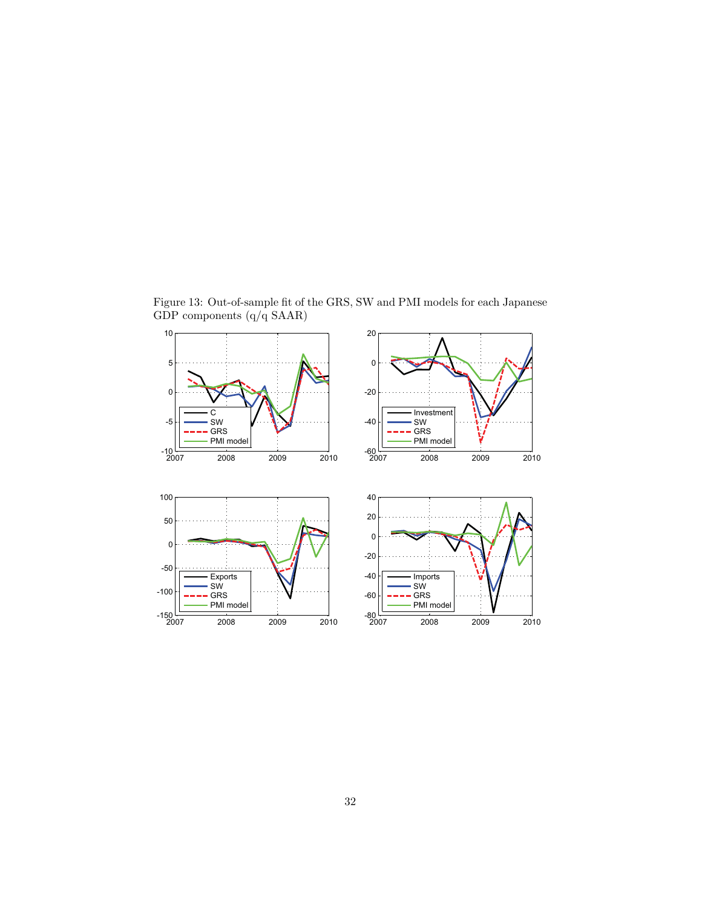

Figure 13: Out-of-sample fit of the GRS, SW and PMI models for each Japanese GDP components (q/q SAAR)